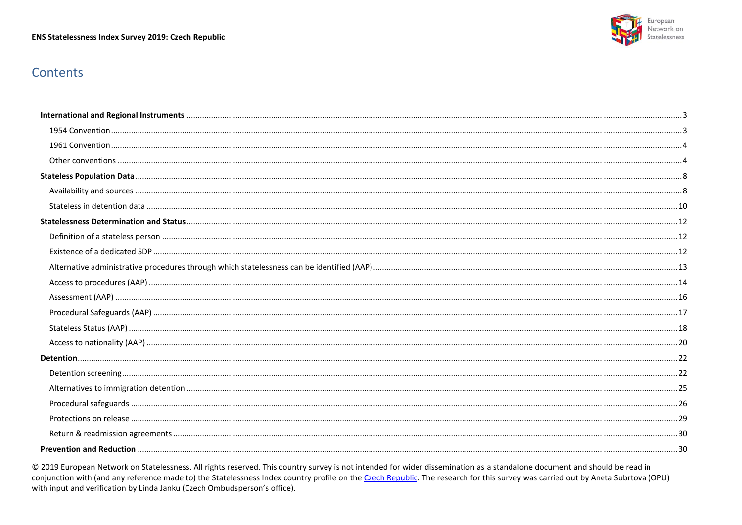#### ENS Statelessness Index Survey 2019: Czech Republic



# Contents

© 2019 European Network on Statelessness. All rights reserved. This country survey is not intended for wider dissemination as a standalone document and should be read in conjunction with (and any reference made to) the Statelessness Index country profile on the Czech Republic. The research for this survey was carried out by Aneta Subrtova (OPU) with input and verification by Linda Janku (Czech Ombudsperson's office).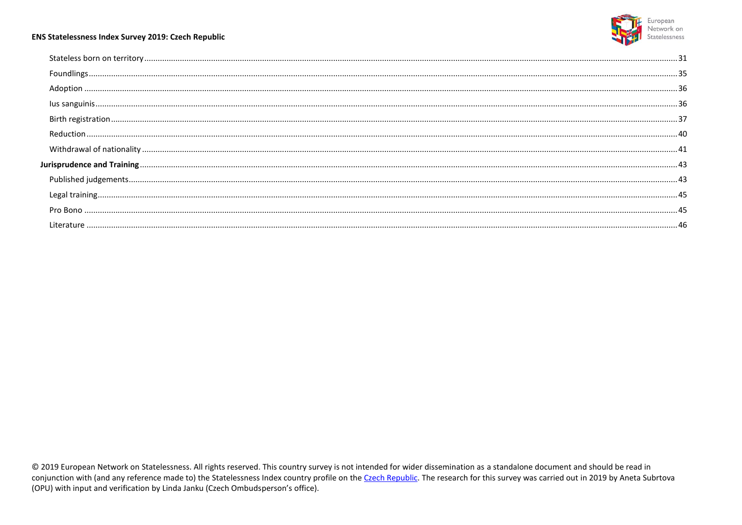

#### ENS Statelessness Index Survey 2019: Czech Republic

© 2019 European Network on Statelessness. All rights reserved. This country survey is not intended for wider dissemination as a standalone document and should be read in conjunction with (and any reference made to) the Statelessness Index country profile on the Czech Republic. The research for this survey was carried out in 2019 by Aneta Subrtova (OPU) with input and verification by Linda Janku (Czech Ombudsperson's office).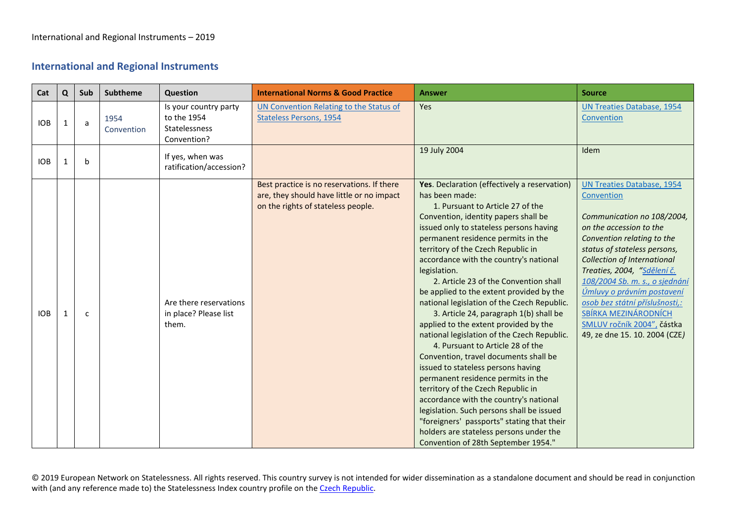## <span id="page-2-0"></span>**International and Regional Instruments**

<span id="page-2-1"></span>

| Cat        | $\mathbf{Q}$ | Sub          | <b>Subtheme</b>    | Question                                                             | <b>International Norms &amp; Good Practice</b>                                                                                | <b>Answer</b>                                                                                                                                                                                                                                                                                                                                                                                                                                                                                                                                                                                                                                                                                                                                                                                                                                                                                                                                                                                                           | <b>Source</b>                                                                                                                                                                                                                                                                                                                                                                                                                        |
|------------|--------------|--------------|--------------------|----------------------------------------------------------------------|-------------------------------------------------------------------------------------------------------------------------------|-------------------------------------------------------------------------------------------------------------------------------------------------------------------------------------------------------------------------------------------------------------------------------------------------------------------------------------------------------------------------------------------------------------------------------------------------------------------------------------------------------------------------------------------------------------------------------------------------------------------------------------------------------------------------------------------------------------------------------------------------------------------------------------------------------------------------------------------------------------------------------------------------------------------------------------------------------------------------------------------------------------------------|--------------------------------------------------------------------------------------------------------------------------------------------------------------------------------------------------------------------------------------------------------------------------------------------------------------------------------------------------------------------------------------------------------------------------------------|
| <b>IOB</b> | 1            | a            | 1954<br>Convention | Is your country party<br>to the 1954<br>Statelessness<br>Convention? | UN Convention Relating to the Status of<br><b>Stateless Persons, 1954</b>                                                     | Yes                                                                                                                                                                                                                                                                                                                                                                                                                                                                                                                                                                                                                                                                                                                                                                                                                                                                                                                                                                                                                     | <b>UN Treaties Database, 1954</b><br>Convention                                                                                                                                                                                                                                                                                                                                                                                      |
| <b>IOB</b> | -1           | $\mathbf b$  |                    | If yes, when was<br>ratification/accession?                          |                                                                                                                               | 19 July 2004                                                                                                                                                                                                                                                                                                                                                                                                                                                                                                                                                                                                                                                                                                                                                                                                                                                                                                                                                                                                            | Idem                                                                                                                                                                                                                                                                                                                                                                                                                                 |
| <b>IOB</b> | 1            | $\mathsf{C}$ |                    | Are there reservations<br>in place? Please list<br>them.             | Best practice is no reservations. If there<br>are, they should have little or no impact<br>on the rights of stateless people. | Yes. Declaration (effectively a reservation)<br>has been made:<br>1. Pursuant to Article 27 of the<br>Convention, identity papers shall be<br>issued only to stateless persons having<br>permanent residence permits in the<br>territory of the Czech Republic in<br>accordance with the country's national<br>legislation.<br>2. Article 23 of the Convention shall<br>be applied to the extent provided by the<br>national legislation of the Czech Republic.<br>3. Article 24, paragraph 1(b) shall be<br>applied to the extent provided by the<br>national legislation of the Czech Republic.<br>4. Pursuant to Article 28 of the<br>Convention, travel documents shall be<br>issued to stateless persons having<br>permanent residence permits in the<br>territory of the Czech Republic in<br>accordance with the country's national<br>legislation. Such persons shall be issued<br>"foreigners' passports" stating that their<br>holders are stateless persons under the<br>Convention of 28th September 1954." | <b>UN Treaties Database, 1954</b><br>Convention<br>Communication no 108/2004,<br>on the accession to the<br>Convention relating to the<br>status of stateless persons,<br><b>Collection of International</b><br>Treaties, 2004, "Sdělení č.<br>108/2004 Sb. m. s., o sjednání<br>Úmluvy o právním postavení<br>osob bez státní příslušnosti,:<br>SBÍRKA MEZINÁRODNÍCH<br>SMLUV ročník 2004", částka<br>49, ze dne 15. 10. 2004 (CZE) |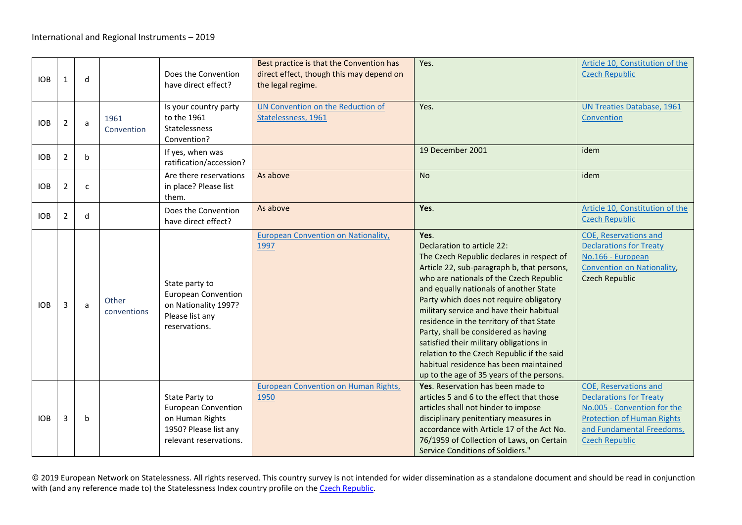<span id="page-3-1"></span><span id="page-3-0"></span>

| <b>IOB</b> | 1              | d            |                      | Does the Convention<br>have direct effect?                                                                         | Best practice is that the Convention has<br>direct effect, though this may depend on<br>the legal regime. | Yes.                                                                                                                                                                                                                                                                                                                                                                                                                                                                                                                                                                          | Article 10, Constitution of the<br><b>Czech Republic</b>                                                                                                                                 |
|------------|----------------|--------------|----------------------|--------------------------------------------------------------------------------------------------------------------|-----------------------------------------------------------------------------------------------------------|-------------------------------------------------------------------------------------------------------------------------------------------------------------------------------------------------------------------------------------------------------------------------------------------------------------------------------------------------------------------------------------------------------------------------------------------------------------------------------------------------------------------------------------------------------------------------------|------------------------------------------------------------------------------------------------------------------------------------------------------------------------------------------|
| <b>IOB</b> | $\overline{2}$ | a            | 1961<br>Convention   | Is your country party<br>to the 1961<br>Statelessness<br>Convention?                                               | UN Convention on the Reduction of<br>Statelessness, 1961                                                  | Yes.                                                                                                                                                                                                                                                                                                                                                                                                                                                                                                                                                                          | <b>UN Treaties Database, 1961</b><br>Convention                                                                                                                                          |
| <b>IOB</b> | $\overline{2}$ | b            |                      | If yes, when was<br>ratification/accession?                                                                        |                                                                                                           | 19 December 2001                                                                                                                                                                                                                                                                                                                                                                                                                                                                                                                                                              | idem                                                                                                                                                                                     |
| <b>IOB</b> | $\overline{2}$ | $\mathsf{C}$ |                      | Are there reservations<br>in place? Please list<br>them.                                                           | As above                                                                                                  | <b>No</b>                                                                                                                                                                                                                                                                                                                                                                                                                                                                                                                                                                     | idem                                                                                                                                                                                     |
| <b>IOB</b> | $\overline{2}$ | d            |                      | Does the Convention<br>have direct effect?                                                                         | As above                                                                                                  | Yes.                                                                                                                                                                                                                                                                                                                                                                                                                                                                                                                                                                          | Article 10, Constitution of the<br><b>Czech Republic</b>                                                                                                                                 |
| <b>IOB</b> | 3              | a            | Other<br>conventions | State party to<br><b>European Convention</b><br>on Nationality 1997?<br>Please list any<br>reservations.           | <b>European Convention on Nationality,</b><br>1997                                                        | Yes.<br>Declaration to article 22:<br>The Czech Republic declares in respect of<br>Article 22, sub-paragraph b, that persons,<br>who are nationals of the Czech Republic<br>and equally nationals of another State<br>Party which does not require obligatory<br>military service and have their habitual<br>residence in the territory of that State<br>Party, shall be considered as having<br>satisfied their military obligations in<br>relation to the Czech Republic if the said<br>habitual residence has been maintained<br>up to the age of 35 years of the persons. | <b>COE, Reservations and</b><br><b>Declarations for Treaty</b><br>No.166 - European<br><b>Convention on Nationality,</b><br><b>Czech Republic</b>                                        |
| <b>IOB</b> | 3              | $\mathbf b$  |                      | State Party to<br><b>European Convention</b><br>on Human Rights<br>1950? Please list any<br>relevant reservations. | <b>European Convention on Human Rights,</b><br>1950                                                       | Yes. Reservation has been made to<br>articles 5 and 6 to the effect that those<br>articles shall not hinder to impose<br>disciplinary penitentiary measures in<br>accordance with Article 17 of the Act No.<br>76/1959 of Collection of Laws, on Certain<br>Service Conditions of Soldiers."                                                                                                                                                                                                                                                                                  | <b>COE, Reservations and</b><br><b>Declarations for Treaty</b><br>No.005 - Convention for the<br><b>Protection of Human Rights</b><br>and Fundamental Freedoms,<br><b>Czech Republic</b> |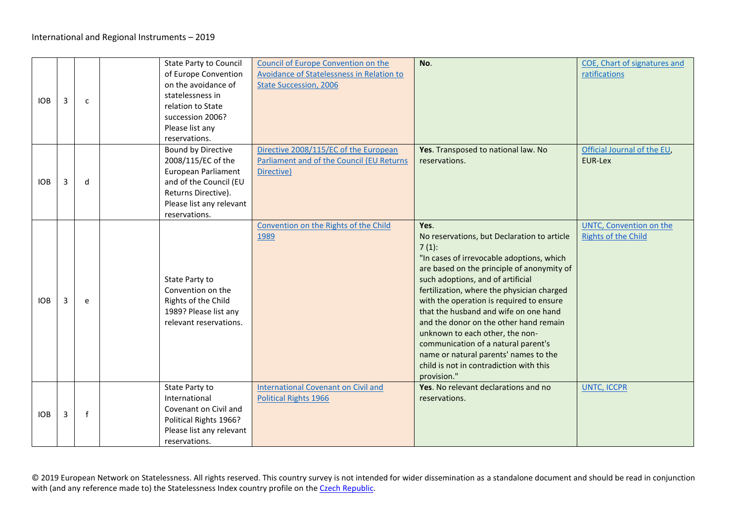| <b>IOB</b> | 3 | $\mathsf{C}$ | <b>State Party to Council</b><br>of Europe Convention<br>on the avoidance of<br>statelessness in<br>relation to State<br>succession 2006?<br>Please list any<br>reservations. | Council of Europe Convention on the<br><b>Avoidance of Statelessness in Relation to</b><br><b>State Succession, 2006</b> | No.                                                                                                                                                                                                                                                                                                                                                                                                                                                                                                                                                       | COE, Chart of signatures and<br>ratifications         |
|------------|---|--------------|-------------------------------------------------------------------------------------------------------------------------------------------------------------------------------|--------------------------------------------------------------------------------------------------------------------------|-----------------------------------------------------------------------------------------------------------------------------------------------------------------------------------------------------------------------------------------------------------------------------------------------------------------------------------------------------------------------------------------------------------------------------------------------------------------------------------------------------------------------------------------------------------|-------------------------------------------------------|
| <b>IOB</b> | 3 | d            | <b>Bound by Directive</b><br>2008/115/EC of the<br>European Parliament<br>and of the Council (EU<br>Returns Directive).<br>Please list any relevant<br>reservations.          | Directive 2008/115/EC of the European<br>Parliament and of the Council (EU Returns<br>Directive)                         | Yes. Transposed to national law. No<br>reservations.                                                                                                                                                                                                                                                                                                                                                                                                                                                                                                      | Official Journal of the EU,<br>EUR-Lex                |
| <b>IOB</b> | 3 | e            | State Party to<br>Convention on the<br>Rights of the Child<br>1989? Please list any<br>relevant reservations.                                                                 | Convention on the Rights of the Child<br>1989                                                                            | Yes.<br>No reservations, but Declaration to article<br>$7(1)$ :<br>"In cases of irrevocable adoptions, which<br>are based on the principle of anonymity of<br>such adoptions, and of artificial<br>fertilization, where the physician charged<br>with the operation is required to ensure<br>that the husband and wife on one hand<br>and the donor on the other hand remain<br>unknown to each other, the non-<br>communication of a natural parent's<br>name or natural parents' names to the<br>child is not in contradiction with this<br>provision." | UNTC, Convention on the<br><b>Rights of the Child</b> |
| <b>IOB</b> | 3 | $\mathsf f$  | State Party to<br>International<br>Covenant on Civil and<br>Political Rights 1966?<br>Please list any relevant<br>reservations.                                               | <b>International Covenant on Civil and</b><br>Political Rights 1966                                                      | Yes. No relevant declarations and no<br>reservations.                                                                                                                                                                                                                                                                                                                                                                                                                                                                                                     | <b>UNTC, ICCPR</b>                                    |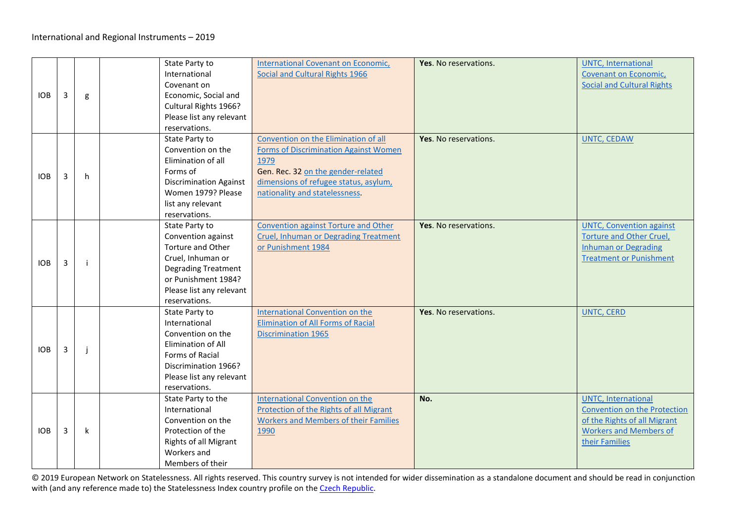| <b>IOB</b> | 3 | g | State Party to<br>International<br>Covenant on<br>Economic, Social and<br>Cultural Rights 1966?<br>Please list any relevant<br>reservations.                                     | International Covenant on Economic,<br>Social and Cultural Rights 1966                                                                                                                                 | Yes. No reservations. | <b>UNTC, International</b><br>Covenant on Economic,<br><b>Social and Cultural Rights</b>                                                             |
|------------|---|---|----------------------------------------------------------------------------------------------------------------------------------------------------------------------------------|--------------------------------------------------------------------------------------------------------------------------------------------------------------------------------------------------------|-----------------------|------------------------------------------------------------------------------------------------------------------------------------------------------|
| <b>IOB</b> | 3 | h | State Party to<br>Convention on the<br>Elimination of all<br>Forms of<br><b>Discrimination Against</b><br>Women 1979? Please<br>list any relevant<br>reservations.               | Convention on the Elimination of all<br>Forms of Discrimination Against Women<br>1979<br>Gen. Rec. 32 on the gender-related<br>dimensions of refugee status, asylum,<br>nationality and statelessness. | Yes. No reservations. | <b>UNTC, CEDAW</b>                                                                                                                                   |
| <b>IOB</b> | 3 | ÷ | State Party to<br>Convention against<br>Torture and Other<br>Cruel, Inhuman or<br><b>Degrading Treatment</b><br>or Punishment 1984?<br>Please list any relevant<br>reservations. | <b>Convention against Torture and Other</b><br>Cruel, Inhuman or Degrading Treatment<br>or Punishment 1984                                                                                             | Yes. No reservations. | <b>UNTC, Convention against</b><br>Torture and Other Cruel,<br><b>Inhuman or Degrading</b><br><b>Treatment or Punishment</b>                         |
| <b>IOB</b> | 3 | j | State Party to<br>International<br>Convention on the<br>Elimination of All<br>Forms of Racial<br>Discrimination 1966?<br>Please list any relevant<br>reservations.               | <b>International Convention on the</b><br><b>Elimination of All Forms of Racial</b><br><b>Discrimination 1965</b>                                                                                      | Yes. No reservations. | <b>UNTC, CERD</b>                                                                                                                                    |
| <b>IOB</b> | 3 | k | State Party to the<br>International<br>Convention on the<br>Protection of the<br>Rights of all Migrant<br>Workers and<br>Members of their                                        | <b>International Convention on the</b><br>Protection of the Rights of all Migrant<br><b>Workers and Members of their Families</b><br>1990                                                              | No.                   | <b>UNTC, International</b><br><b>Convention on the Protection</b><br>of the Rights of all Migrant<br><b>Workers and Members of</b><br>their Families |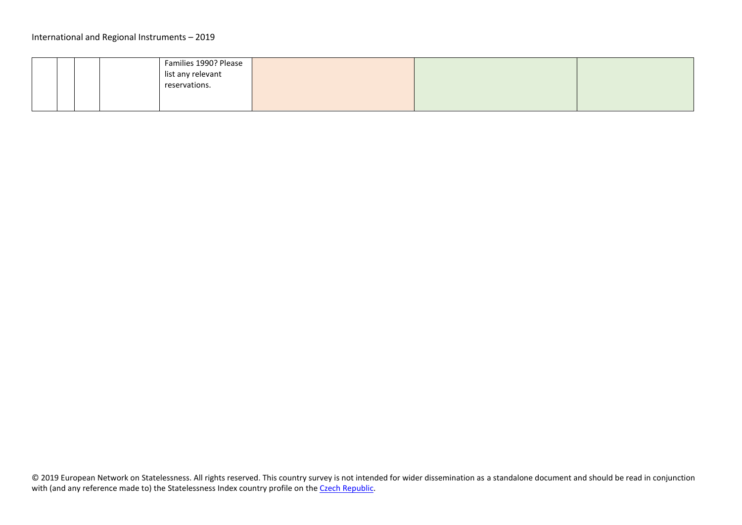<span id="page-6-0"></span>

|  |  | Families 1990? Please |  |  |
|--|--|-----------------------|--|--|
|  |  | list any relevant     |  |  |
|  |  | reservations.         |  |  |
|  |  |                       |  |  |
|  |  |                       |  |  |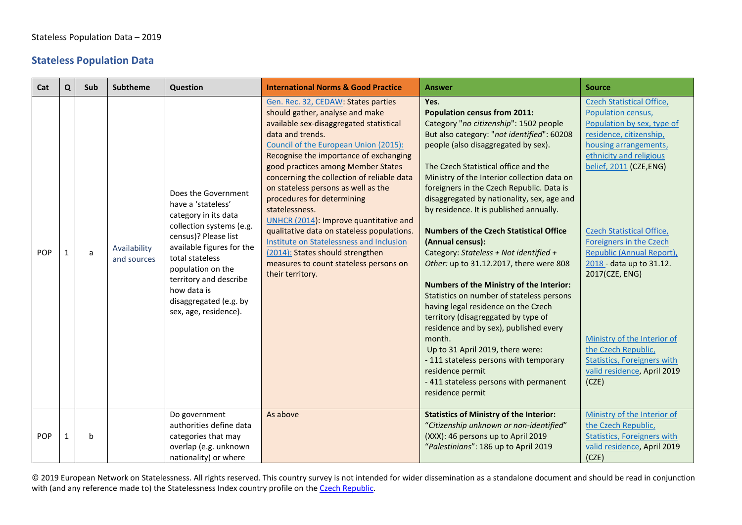### **Stateless Population Data**

<span id="page-7-0"></span>

| Cat        | Q            | Sub | <b>Subtheme</b>             | Question                                                                                                                                                                                                                                                                               | <b>International Norms &amp; Good Practice</b>                                                                                                                                                                                                                                                                                                                                                                                                                                                                                                                                                                                            | <b>Answer</b>                                                                                                                                                                                                                                                                                                                                                                                                                                                                                                                                                                                                                                                                                                                                                                                                                                                                                                                                                | <b>Source</b>                                                                                                                                                                                                                                                                                                                                                                                                                                                                      |
|------------|--------------|-----|-----------------------------|----------------------------------------------------------------------------------------------------------------------------------------------------------------------------------------------------------------------------------------------------------------------------------------|-------------------------------------------------------------------------------------------------------------------------------------------------------------------------------------------------------------------------------------------------------------------------------------------------------------------------------------------------------------------------------------------------------------------------------------------------------------------------------------------------------------------------------------------------------------------------------------------------------------------------------------------|--------------------------------------------------------------------------------------------------------------------------------------------------------------------------------------------------------------------------------------------------------------------------------------------------------------------------------------------------------------------------------------------------------------------------------------------------------------------------------------------------------------------------------------------------------------------------------------------------------------------------------------------------------------------------------------------------------------------------------------------------------------------------------------------------------------------------------------------------------------------------------------------------------------------------------------------------------------|------------------------------------------------------------------------------------------------------------------------------------------------------------------------------------------------------------------------------------------------------------------------------------------------------------------------------------------------------------------------------------------------------------------------------------------------------------------------------------|
| <b>POP</b> | $\mathbf{1}$ | a   | Availability<br>and sources | Does the Government<br>have a 'stateless'<br>category in its data<br>collection systems (e.g.<br>census)? Please list<br>available figures for the<br>total stateless<br>population on the<br>territory and describe<br>how data is<br>disaggregated (e.g. by<br>sex, age, residence). | Gen. Rec. 32, CEDAW: States parties<br>should gather, analyse and make<br>available sex-disaggregated statistical<br>data and trends.<br>Council of the European Union (2015):<br>Recognise the importance of exchanging<br>good practices among Member States<br>concerning the collection of reliable data<br>on stateless persons as well as the<br>procedures for determining<br>statelessness.<br>UNHCR (2014): Improve quantitative and<br>qualitative data on stateless populations.<br>Institute on Statelessness and Inclusion<br>(2014): States should strengthen<br>measures to count stateless persons on<br>their territory. | Yes.<br><b>Population census from 2011:</b><br>Category "no citizenship": 1502 people<br>But also category: "not identified": 60208<br>people (also disaggregated by sex).<br>The Czech Statistical office and the<br>Ministry of the Interior collection data on<br>foreigners in the Czech Republic. Data is<br>disaggregated by nationality, sex, age and<br>by residence. It is published annually.<br><b>Numbers of the Czech Statistical Office</b><br>(Annual census):<br>Category: Stateless + Not identified +<br>Other: up to 31.12.2017, there were 808<br>Numbers of the Ministry of the Interior:<br>Statistics on number of stateless persons<br>having legal residence on the Czech<br>territory (disagreggated by type of<br>residence and by sex), published every<br>month.<br>Up to 31 April 2019, there were:<br>- 111 stateless persons with temporary<br>residence permit<br>-411 stateless persons with permanent<br>residence permit | <b>Czech Statistical Office,</b><br>Population census,<br>Population by sex, type of<br>residence, citizenship,<br>housing arrangements,<br>ethnicity and religious<br>belief, 2011 (CZE,ENG)<br><b>Czech Statistical Office,</b><br><b>Foreigners in the Czech</b><br>Republic (Annual Report),<br>2018 - data up to 31.12.<br>2017(CZE, ENG)<br>Ministry of the Interior of<br>the Czech Republic,<br><b>Statistics, Foreigners with</b><br>valid residence, April 2019<br>(CZE) |
| <b>POP</b> | $\mathbf{1}$ | b   |                             | Do government<br>authorities define data<br>categories that may<br>overlap (e.g. unknown<br>nationality) or where                                                                                                                                                                      | As above                                                                                                                                                                                                                                                                                                                                                                                                                                                                                                                                                                                                                                  | <b>Statistics of Ministry of the Interior:</b><br>"Citizenship unknown or non-identified"<br>(XXX): 46 persons up to April 2019<br>"Palestinians": 186 up to April 2019                                                                                                                                                                                                                                                                                                                                                                                                                                                                                                                                                                                                                                                                                                                                                                                      | Ministry of the Interior of<br>the Czech Republic,<br><b>Statistics, Foreigners with</b><br>valid residence, April 2019<br>(CZE)                                                                                                                                                                                                                                                                                                                                                   |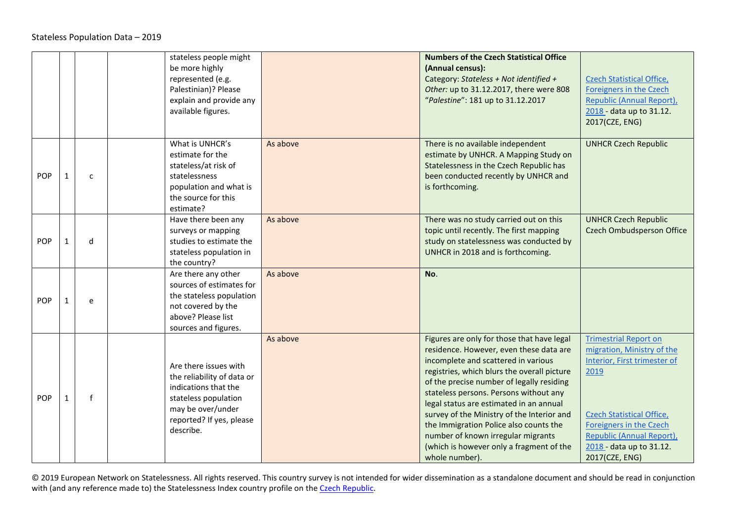|            |              | stateless people might<br>be more highly<br>represented (e.g.<br>Palestinian)? Please<br>explain and provide any<br>available figures.                            |          | <b>Numbers of the Czech Statistical Office</b><br>(Annual census):<br>Category: Stateless + Not identified +<br>Other: up to 31.12.2017, there were 808<br>"Palestine": 181 up to 31.12.2017                                                                                                                                                                                                                                                                                                              | <b>Czech Statistical Office,</b><br>Foreigners in the Czech<br>Republic (Annual Report),<br>2018 - data up to 31.12.<br>2017(CZE, ENG)                                                                                                       |
|------------|--------------|-------------------------------------------------------------------------------------------------------------------------------------------------------------------|----------|-----------------------------------------------------------------------------------------------------------------------------------------------------------------------------------------------------------------------------------------------------------------------------------------------------------------------------------------------------------------------------------------------------------------------------------------------------------------------------------------------------------|----------------------------------------------------------------------------------------------------------------------------------------------------------------------------------------------------------------------------------------------|
| POP        | $\mathsf{C}$ | What is UNHCR's<br>estimate for the<br>stateless/at risk of<br>statelessness<br>population and what is<br>the source for this<br>estimate?                        | As above | There is no available independent<br>estimate by UNHCR. A Mapping Study on<br>Statelessness in the Czech Republic has<br>been conducted recently by UNHCR and<br>is forthcoming.                                                                                                                                                                                                                                                                                                                          | <b>UNHCR Czech Republic</b>                                                                                                                                                                                                                  |
| <b>POP</b> | d            | Have there been any<br>surveys or mapping<br>studies to estimate the<br>stateless population in<br>the country?                                                   | As above | There was no study carried out on this<br>topic until recently. The first mapping<br>study on statelessness was conducted by<br>UNHCR in 2018 and is forthcoming.                                                                                                                                                                                                                                                                                                                                         | <b>UNHCR Czech Republic</b><br>Czech Ombudsperson Office                                                                                                                                                                                     |
| POP        | e            | Are there any other<br>sources of estimates for<br>the stateless population<br>not covered by the<br>above? Please list<br>sources and figures.                   | As above | No.                                                                                                                                                                                                                                                                                                                                                                                                                                                                                                       |                                                                                                                                                                                                                                              |
| POP        | $\mathbf{f}$ | Are there issues with<br>the reliability of data or<br>indications that the<br>stateless population<br>may be over/under<br>reported? If yes, please<br>describe. | As above | Figures are only for those that have legal<br>residence. However, even these data are<br>incomplete and scattered in various<br>registries, which blurs the overall picture<br>of the precise number of legally residing<br>stateless persons. Persons without any<br>legal status are estimated in an annual<br>survey of the Ministry of the Interior and<br>the Immigration Police also counts the<br>number of known irregular migrants<br>(which is however only a fragment of the<br>whole number). | <b>Trimestrial Report on</b><br>migration, Ministry of the<br>Interior, First trimester of<br>2019<br><b>Czech Statistical Office,</b><br>Foreigners in the Czech<br>Republic (Annual Report),<br>2018 - data up to 31.12.<br>2017(CZE, ENG) |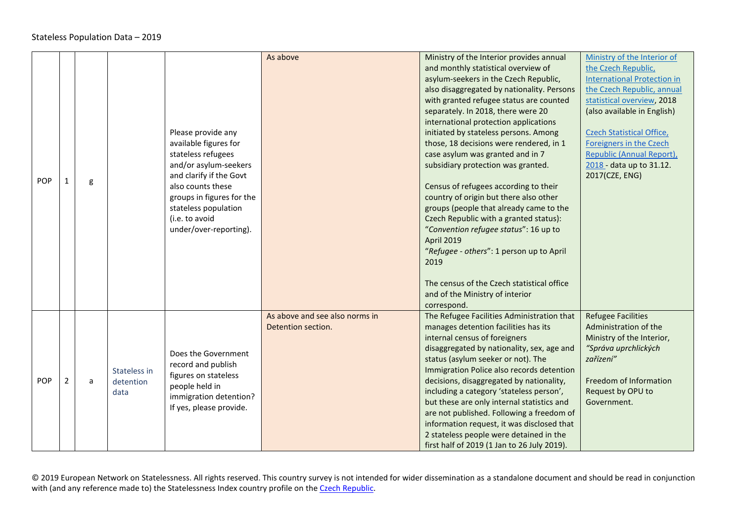<span id="page-9-0"></span>

|     |   |   |              |                           | As above                       | Ministry of the Interior provides annual    | Ministry of the Interior of        |
|-----|---|---|--------------|---------------------------|--------------------------------|---------------------------------------------|------------------------------------|
|     |   |   |              |                           |                                | and monthly statistical overview of         | the Czech Republic,                |
|     |   |   |              |                           |                                | asylum-seekers in the Czech Republic,       | <b>International Protection in</b> |
|     |   |   |              |                           |                                | also disaggregated by nationality. Persons  | the Czech Republic, annual         |
|     |   |   |              |                           |                                | with granted refugee status are counted     | statistical overview, 2018         |
|     |   |   |              |                           |                                | separately. In 2018, there were 20          | (also available in English)        |
|     |   |   |              |                           |                                | international protection applications       |                                    |
|     |   |   |              | Please provide any        |                                | initiated by stateless persons. Among       | <b>Czech Statistical Office,</b>   |
|     |   |   |              | available figures for     |                                | those, 18 decisions were rendered, in 1     | Foreigners in the Czech            |
|     |   |   |              | stateless refugees        |                                | case asylum was granted and in 7            | Republic (Annual Report),          |
|     |   |   |              | and/or asylum-seekers     |                                | subsidiary protection was granted.          | 2018 - data up to 31.12.           |
| POP |   |   |              | and clarify if the Govt   |                                |                                             | 2017(CZE, ENG)                     |
|     |   | g |              | also counts these         |                                | Census of refugees according to their       |                                    |
|     |   |   |              | groups in figures for the |                                | country of origin but there also other      |                                    |
|     |   |   |              | stateless population      |                                | groups (people that already came to the     |                                    |
|     |   |   |              | (i.e. to avoid            |                                | Czech Republic with a granted status):      |                                    |
|     |   |   |              | under/over-reporting).    |                                | "Convention refugee status": 16 up to       |                                    |
|     |   |   |              |                           |                                | <b>April 2019</b>                           |                                    |
|     |   |   |              |                           |                                | "Refugee - others": 1 person up to April    |                                    |
|     |   |   |              |                           |                                | 2019                                        |                                    |
|     |   |   |              |                           |                                |                                             |                                    |
|     |   |   |              |                           |                                | The census of the Czech statistical office  |                                    |
|     |   |   |              |                           |                                | and of the Ministry of interior             |                                    |
|     |   |   |              |                           |                                | correspond.                                 |                                    |
|     |   |   |              |                           | As above and see also norms in | The Refugee Facilities Administration that  | <b>Refugee Facilities</b>          |
|     |   |   |              |                           | Detention section.             | manages detention facilities has its        | Administration of the              |
|     |   |   |              |                           |                                | internal census of foreigners               | Ministry of the Interior,          |
|     |   |   |              | Does the Government       |                                | disaggregated by nationality, sex, age and  | "Správa uprchlických               |
|     |   |   |              | record and publish        |                                | status (asylum seeker or not). The          | zařízení"                          |
|     |   |   | Stateless in | figures on stateless      |                                | Immigration Police also records detention   |                                    |
| POP | 2 | a | detention    | people held in            |                                | decisions, disaggregated by nationality,    | Freedom of Information             |
|     |   |   | data         | immigration detention?    |                                | including a category 'stateless person',    | Request by OPU to                  |
|     |   |   |              | If yes, please provide.   |                                | but these are only internal statistics and  | Government.                        |
|     |   |   |              |                           |                                | are not published. Following a freedom of   |                                    |
|     |   |   |              |                           |                                | information request, it was disclosed that  |                                    |
|     |   |   |              |                           |                                | 2 stateless people were detained in the     |                                    |
|     |   |   |              |                           |                                | first half of 2019 (1 Jan to 26 July 2019). |                                    |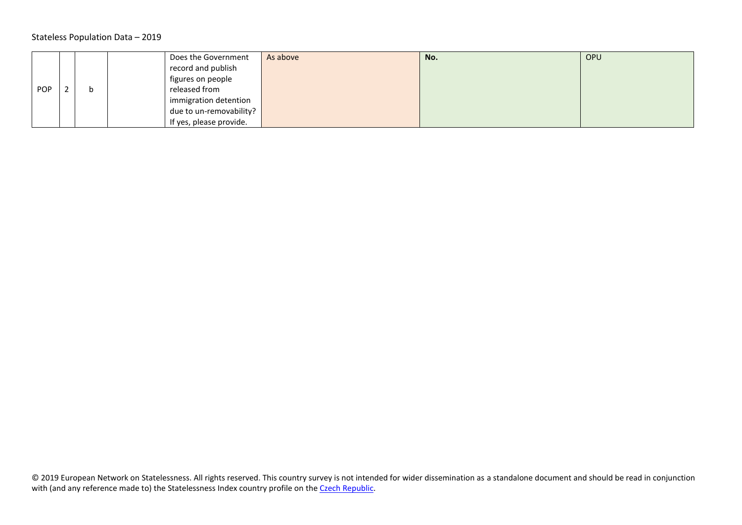#### Stateless Population Data – 2019

<span id="page-10-0"></span>

|     |  | Does the Government     | As above | No. | <b>OPU</b> |
|-----|--|-------------------------|----------|-----|------------|
|     |  | record and publish      |          |     |            |
|     |  | figures on people       |          |     |            |
| POP |  | released from           |          |     |            |
|     |  | immigration detention   |          |     |            |
|     |  | due to un-removability? |          |     |            |
|     |  | If yes, please provide. |          |     |            |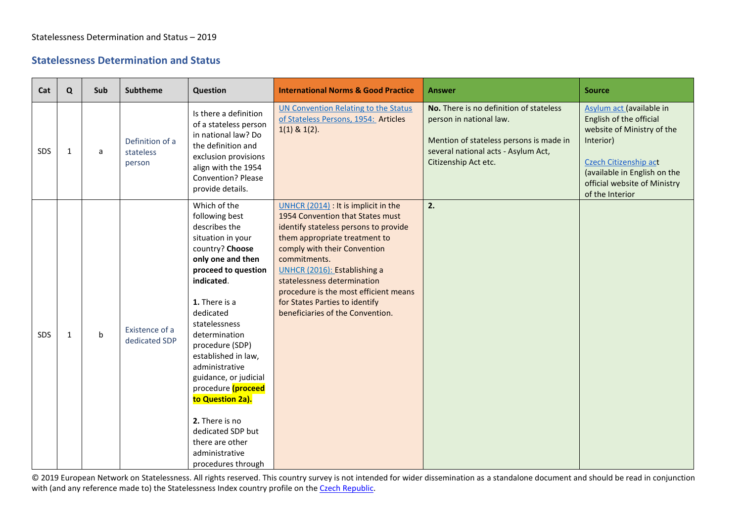## **Statelessness Determination and Status**

<span id="page-11-1"></span><span id="page-11-0"></span>

| Cat | $\mathbf Q$  | Sub          | <b>Subtheme</b>                        | Question                                                                                                                                                                                                                                                                                                                                                                                                                                           | <b>International Norms &amp; Good Practice</b>                                                                                                                                                                                                                                                                                                                                   | <b>Answer</b>                                                                                                                                                                | <b>Source</b>                                                                                                                                                                                              |
|-----|--------------|--------------|----------------------------------------|----------------------------------------------------------------------------------------------------------------------------------------------------------------------------------------------------------------------------------------------------------------------------------------------------------------------------------------------------------------------------------------------------------------------------------------------------|----------------------------------------------------------------------------------------------------------------------------------------------------------------------------------------------------------------------------------------------------------------------------------------------------------------------------------------------------------------------------------|------------------------------------------------------------------------------------------------------------------------------------------------------------------------------|------------------------------------------------------------------------------------------------------------------------------------------------------------------------------------------------------------|
| SDS | $\mathbf{1}$ | a            | Definition of a<br>stateless<br>person | Is there a definition<br>of a stateless person<br>in national law? Do<br>the definition and<br>exclusion provisions<br>align with the 1954<br><b>Convention? Please</b><br>provide details.                                                                                                                                                                                                                                                        | <b>UN Convention Relating to the Status</b><br>of Stateless Persons, 1954: Articles<br>$1(1)$ & $1(2)$ .                                                                                                                                                                                                                                                                         | No. There is no definition of stateless<br>person in national law.<br>Mention of stateless persons is made in<br>several national acts - Asylum Act,<br>Citizenship Act etc. | Asylum act (available in<br>English of the official<br>website of Ministry of the<br>Interior)<br>Czech Citizenship act<br>(available in English on the<br>official website of Ministry<br>of the Interior |
| SDS | $\mathbf{1}$ | $\mathsf{b}$ | Existence of a<br>dedicated SDP        | Which of the<br>following best<br>describes the<br>situation in your<br>country? Choose<br>only one and then<br>proceed to question<br>indicated.<br>1. There is a<br>dedicated<br>statelessness<br>determination<br>procedure (SDP)<br>established in law,<br>administrative<br>guidance, or judicial<br>procedure (proceed<br>to Question 2a).<br>2. There is no<br>dedicated SDP but<br>there are other<br>administrative<br>procedures through | UNHCR (2014) : It is implicit in the<br>1954 Convention that States must<br>identify stateless persons to provide<br>them appropriate treatment to<br>comply with their Convention<br>commitments.<br>UNHCR (2016): Establishing a<br>statelessness determination<br>procedure is the most efficient means<br>for States Parties to identify<br>beneficiaries of the Convention. | 2.                                                                                                                                                                           |                                                                                                                                                                                                            |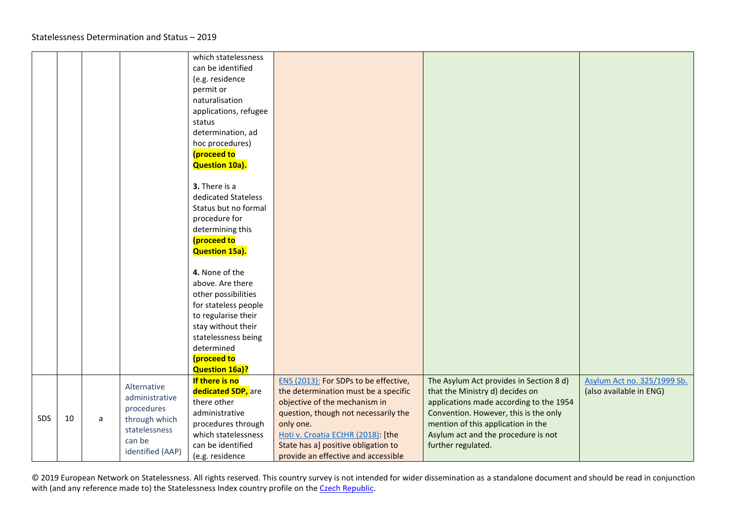<span id="page-12-0"></span>

|     |    |   |                                                                                                             | which statelessness<br>can be identified<br>(e.g. residence<br>permit or<br>naturalisation<br>applications, refugee<br>status                              |                                                                                                                                                                                                                                                                                         |                                                                                                                                                                                                                                                                   |                                                        |
|-----|----|---|-------------------------------------------------------------------------------------------------------------|------------------------------------------------------------------------------------------------------------------------------------------------------------|-----------------------------------------------------------------------------------------------------------------------------------------------------------------------------------------------------------------------------------------------------------------------------------------|-------------------------------------------------------------------------------------------------------------------------------------------------------------------------------------------------------------------------------------------------------------------|--------------------------------------------------------|
|     |    |   |                                                                                                             | determination, ad<br>hoc procedures)<br>(proceed to<br>Question 10a).<br>3. There is a                                                                     |                                                                                                                                                                                                                                                                                         |                                                                                                                                                                                                                                                                   |                                                        |
|     |    |   |                                                                                                             | dedicated Stateless<br>Status but no formal<br>procedure for<br>determining this<br>(proceed to<br>Question 15a).                                          |                                                                                                                                                                                                                                                                                         |                                                                                                                                                                                                                                                                   |                                                        |
|     |    |   |                                                                                                             | 4. None of the<br>above. Are there<br>other possibilities<br>for stateless people                                                                          |                                                                                                                                                                                                                                                                                         |                                                                                                                                                                                                                                                                   |                                                        |
|     |    |   |                                                                                                             | to regularise their<br>stay without their<br>statelessness being<br>determined<br>(proceed to<br><b>Question 16a)?</b>                                     |                                                                                                                                                                                                                                                                                         |                                                                                                                                                                                                                                                                   |                                                        |
| SDS | 10 | a | Alternative<br>administrative<br>procedures<br>through which<br>statelessness<br>can be<br>identified (AAP) | If there is no<br>dedicated SDP, are<br>there other<br>administrative<br>procedures through<br>which statelessness<br>can be identified<br>(e.g. residence | ENS (2013): For SDPs to be effective,<br>the determination must be a specific<br>objective of the mechanism in<br>question, though not necessarily the<br>only one.<br>Hoti v. Croatia ECtHR (2018): [the<br>State has a] positive obligation to<br>provide an effective and accessible | The Asylum Act provides in Section 8 d)<br>that the Ministry d) decides on<br>applications made according to the 1954<br>Convention. However, this is the only<br>mention of this application in the<br>Asylum act and the procedure is not<br>further regulated. | Asylum Act no. 325/1999 Sb.<br>(also available in ENG) |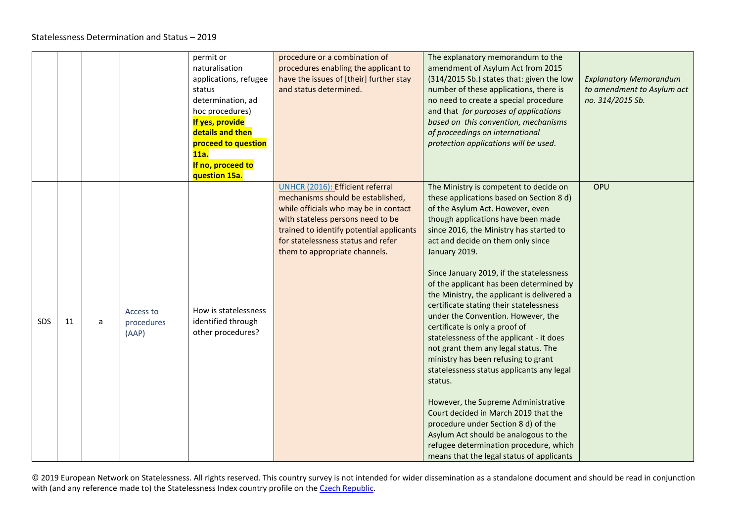<span id="page-13-0"></span>

|            |    |   |                                  | permit or<br>naturalisation<br>applications, refugee<br>status<br>determination, ad<br>hoc procedures)<br><b>If yes, provide</b><br>details and then<br>proceed to question<br>11a.<br>If no, proceed to<br>question 15a. | procedure or a combination of<br>procedures enabling the applicant to<br>have the issues of [their] further stay<br>and status determined.                                                                                                                             | The explanatory memorandum to the<br>amendment of Asylum Act from 2015<br>(314/2015 Sb.) states that: given the low<br>number of these applications, there is<br>no need to create a special procedure<br>and that for purposes of applications<br>based on this convention, mechanisms<br>of proceedings on international<br>protection applications will be used.                                                                                                                                                                                                                                                                                                                                                                                                                                                                                                                                                                                            | <b>Explanatory Memorandum</b><br>to amendment to Asylum act<br>no. 314/2015 Sb. |
|------------|----|---|----------------------------------|---------------------------------------------------------------------------------------------------------------------------------------------------------------------------------------------------------------------------|------------------------------------------------------------------------------------------------------------------------------------------------------------------------------------------------------------------------------------------------------------------------|----------------------------------------------------------------------------------------------------------------------------------------------------------------------------------------------------------------------------------------------------------------------------------------------------------------------------------------------------------------------------------------------------------------------------------------------------------------------------------------------------------------------------------------------------------------------------------------------------------------------------------------------------------------------------------------------------------------------------------------------------------------------------------------------------------------------------------------------------------------------------------------------------------------------------------------------------------------|---------------------------------------------------------------------------------|
| <b>SDS</b> | 11 | a | Access to<br>procedures<br>(AAP) | How is statelessness<br>identified through<br>other procedures?                                                                                                                                                           | UNHCR (2016): Efficient referral<br>mechanisms should be established,<br>while officials who may be in contact<br>with stateless persons need to be<br>trained to identify potential applicants<br>for statelessness status and refer<br>them to appropriate channels. | The Ministry is competent to decide on<br>these applications based on Section 8 d)<br>of the Asylum Act. However, even<br>though applications have been made<br>since 2016, the Ministry has started to<br>act and decide on them only since<br>January 2019.<br>Since January 2019, if the statelessness<br>of the applicant has been determined by<br>the Ministry, the applicant is delivered a<br>certificate stating their statelessness<br>under the Convention. However, the<br>certificate is only a proof of<br>statelessness of the applicant - it does<br>not grant them any legal status. The<br>ministry has been refusing to grant<br>statelessness status applicants any legal<br>status.<br>However, the Supreme Administrative<br>Court decided in March 2019 that the<br>procedure under Section 8 d) of the<br>Asylum Act should be analogous to the<br>refugee determination procedure, which<br>means that the legal status of applicants | OPU                                                                             |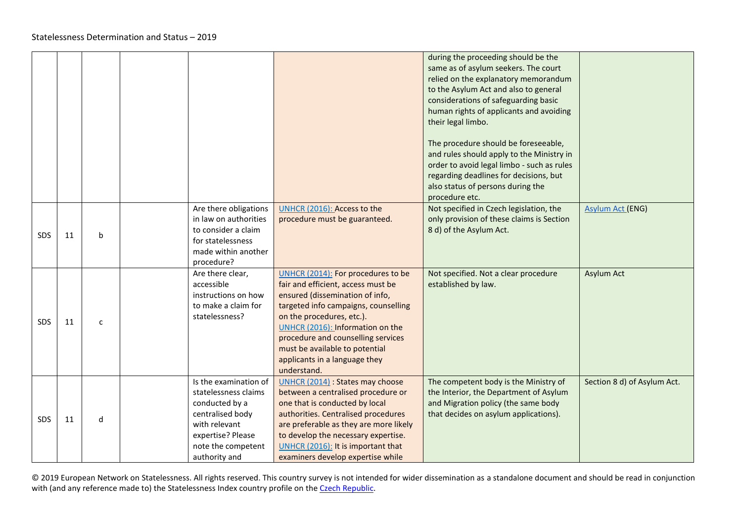|            |    |              |                                                                                                                                                                  |                                                                                                                                                                                                                                                                                                                                              | during the proceeding should be the<br>same as of asylum seekers. The court<br>relied on the explanatory memorandum<br>to the Asylum Act and also to general<br>considerations of safeguarding basic<br>human rights of applicants and avoiding<br>their legal limbo.<br>The procedure should be foreseeable,<br>and rules should apply to the Ministry in<br>order to avoid legal limbo - such as rules<br>regarding deadlines for decisions, but<br>also status of persons during the<br>procedure etc. |                             |
|------------|----|--------------|------------------------------------------------------------------------------------------------------------------------------------------------------------------|----------------------------------------------------------------------------------------------------------------------------------------------------------------------------------------------------------------------------------------------------------------------------------------------------------------------------------------------|-----------------------------------------------------------------------------------------------------------------------------------------------------------------------------------------------------------------------------------------------------------------------------------------------------------------------------------------------------------------------------------------------------------------------------------------------------------------------------------------------------------|-----------------------------|
| <b>SDS</b> | 11 | b            | Are there obligations<br>in law on authorities<br>to consider a claim<br>for statelessness<br>made within another<br>procedure?                                  | UNHCR (2016): Access to the<br>procedure must be guaranteed.                                                                                                                                                                                                                                                                                 | Not specified in Czech legislation, the<br>only provision of these claims is Section<br>8 d) of the Asylum Act.                                                                                                                                                                                                                                                                                                                                                                                           | <b>Asylum Act (ENG)</b>     |
| <b>SDS</b> | 11 | $\mathsf{C}$ | Are there clear,<br>accessible<br>instructions on how<br>to make a claim for<br>statelessness?                                                                   | UNHCR (2014): For procedures to be<br>fair and efficient, access must be<br>ensured (dissemination of info,<br>targeted info campaigns, counselling<br>on the procedures, etc.).<br>UNHCR (2016): Information on the<br>procedure and counselling services<br>must be available to potential<br>applicants in a language they<br>understand. | Not specified. Not a clear procedure<br>established by law.                                                                                                                                                                                                                                                                                                                                                                                                                                               | <b>Asylum Act</b>           |
| <b>SDS</b> | 11 | d            | Is the examination of<br>statelessness claims<br>conducted by a<br>centralised body<br>with relevant<br>expertise? Please<br>note the competent<br>authority and | UNHCR (2014) : States may choose<br>between a centralised procedure or<br>one that is conducted by local<br>authorities. Centralised procedures<br>are preferable as they are more likely<br>to develop the necessary expertise.<br>UNHCR (2016): It is important that<br>examiners develop expertise while                                  | The competent body is the Ministry of<br>the Interior, the Department of Asylum<br>and Migration policy (the same body<br>that decides on asylum applications).                                                                                                                                                                                                                                                                                                                                           | Section 8 d) of Asylum Act. |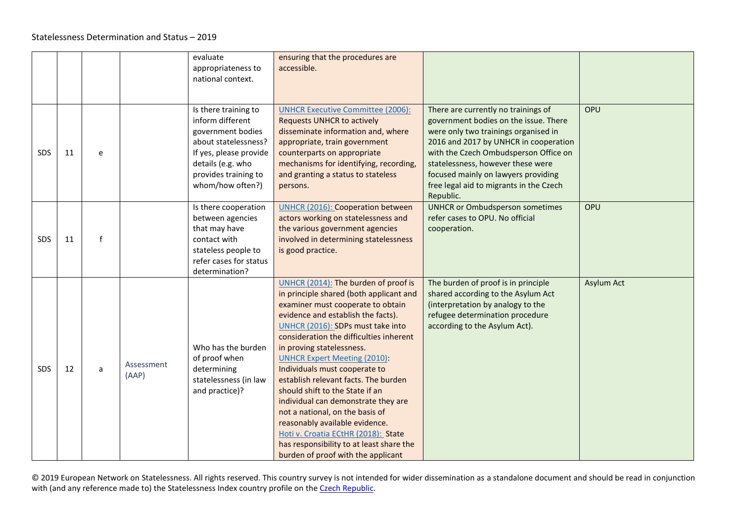<span id="page-15-0"></span>

|            |    |              |                     | evaluate<br>appropriateness to<br>national context.                                                                                                                              | ensuring that the procedures are<br>accessible.                                                                                                                                                                                                                                                                                                                                                                                                                                                                                                                                                                                                                 |                                                                                                                                                                                                                                                                                                                                            |            |
|------------|----|--------------|---------------------|----------------------------------------------------------------------------------------------------------------------------------------------------------------------------------|-----------------------------------------------------------------------------------------------------------------------------------------------------------------------------------------------------------------------------------------------------------------------------------------------------------------------------------------------------------------------------------------------------------------------------------------------------------------------------------------------------------------------------------------------------------------------------------------------------------------------------------------------------------------|--------------------------------------------------------------------------------------------------------------------------------------------------------------------------------------------------------------------------------------------------------------------------------------------------------------------------------------------|------------|
| <b>SDS</b> | 11 | e            |                     | Is there training to<br>inform different<br>government bodies<br>about statelessness?<br>If yes, please provide<br>details (e.g. who<br>provides training to<br>whom/how often?) | <b>UNHCR Executive Committee (2006):</b><br><b>Requests UNHCR to actively</b><br>disseminate information and, where<br>appropriate, train government<br>counterparts on appropriate<br>mechanisms for identifying, recording,<br>and granting a status to stateless<br>persons.                                                                                                                                                                                                                                                                                                                                                                                 | There are currently no trainings of<br>government bodies on the issue. There<br>were only two trainings organised in<br>2016 and 2017 by UNHCR in cooperation<br>with the Czech Ombudsperson Office on<br>statelessness, however these were<br>focused mainly on lawyers providing<br>free legal aid to migrants in the Czech<br>Republic. | OPU        |
| <b>SDS</b> | 11 | $\mathsf{f}$ |                     | Is there cooperation<br>between agencies<br>that may have<br>contact with<br>stateless people to<br>refer cases for status<br>determination?                                     | <b>UNHCR (2016): Cooperation between</b><br>actors working on statelessness and<br>the various government agencies<br>involved in determining statelessness<br>is good practice.                                                                                                                                                                                                                                                                                                                                                                                                                                                                                | <b>UNHCR or Ombudsperson sometimes</b><br>refer cases to OPU. No official<br>cooperation.                                                                                                                                                                                                                                                  | OPU        |
| <b>SDS</b> | 12 | a            | Assessment<br>(AAP) | Who has the burden<br>of proof when<br>determining<br>statelessness (in law<br>and practice)?                                                                                    | UNHCR (2014): The burden of proof is<br>in principle shared (both applicant and<br>examiner must cooperate to obtain<br>evidence and establish the facts).<br>UNHCR (2016): SDPs must take into<br>consideration the difficulties inherent<br>in proving statelessness.<br><b>UNHCR Expert Meeting (2010):</b><br>Individuals must cooperate to<br>establish relevant facts. The burden<br>should shift to the State if an<br>individual can demonstrate they are<br>not a national, on the basis of<br>reasonably available evidence.<br>Hoti v. Croatia ECtHR (2018): State<br>has responsibility to at least share the<br>burden of proof with the applicant | The burden of proof is in principle<br>shared according to the Asylum Act<br>(interpretation by analogy to the<br>refugee determination procedure<br>according to the Asylum Act).                                                                                                                                                         | Asylum Act |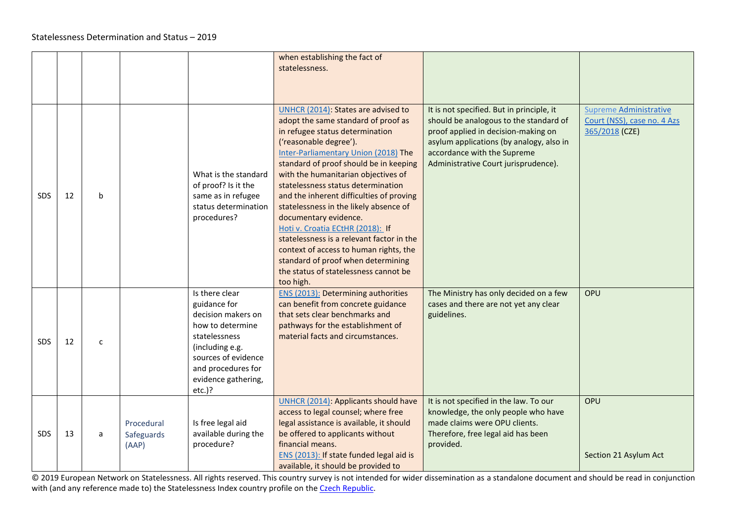<span id="page-16-0"></span>

|            |    |              |                                   |                                                                                                                                                                                               | when establishing the fact of<br>statelessness.                                                                                                                                                                                                                                                                                                                                                                                                                                                                                                                                                                                              |                                                                                                                                                                                                                                               |                                                                                |
|------------|----|--------------|-----------------------------------|-----------------------------------------------------------------------------------------------------------------------------------------------------------------------------------------------|----------------------------------------------------------------------------------------------------------------------------------------------------------------------------------------------------------------------------------------------------------------------------------------------------------------------------------------------------------------------------------------------------------------------------------------------------------------------------------------------------------------------------------------------------------------------------------------------------------------------------------------------|-----------------------------------------------------------------------------------------------------------------------------------------------------------------------------------------------------------------------------------------------|--------------------------------------------------------------------------------|
| <b>SDS</b> | 12 | b            |                                   | What is the standard<br>of proof? Is it the<br>same as in refugee<br>status determination<br>procedures?                                                                                      | UNHCR (2014): States are advised to<br>adopt the same standard of proof as<br>in refugee status determination<br>('reasonable degree').<br>Inter-Parliamentary Union (2018) The<br>standard of proof should be in keeping<br>with the humanitarian objectives of<br>statelessness status determination<br>and the inherent difficulties of proving<br>statelessness in the likely absence of<br>documentary evidence.<br>Hoti v. Croatia ECtHR (2018): If<br>statelessness is a relevant factor in the<br>context of access to human rights, the<br>standard of proof when determining<br>the status of statelessness cannot be<br>too high. | It is not specified. But in principle, it<br>should be analogous to the standard of<br>proof applied in decision-making on<br>asylum applications (by analogy, also in<br>accordance with the Supreme<br>Administrative Court jurisprudence). | <b>Supreme Administrative</b><br>Court (NSS), case no. 4 Azs<br>365/2018 (CZE) |
| SDS.       | 12 | $\mathsf{C}$ |                                   | Is there clear<br>guidance for<br>decision makers on<br>how to determine<br>statelessness<br>(including e.g.<br>sources of evidence<br>and procedures for<br>evidence gathering,<br>$etc.$ )? | <b>ENS (2013): Determining authorities</b><br>can benefit from concrete guidance<br>that sets clear benchmarks and<br>pathways for the establishment of<br>material facts and circumstances.                                                                                                                                                                                                                                                                                                                                                                                                                                                 | The Ministry has only decided on a few<br>cases and there are not yet any clear<br>guidelines.                                                                                                                                                | OPU                                                                            |
| <b>SDS</b> | 13 | a            | Procedural<br>Safeguards<br>(AAP) | Is free legal aid<br>available during the<br>procedure?                                                                                                                                       | <b>UNHCR (2014): Applicants should have</b><br>access to legal counsel; where free<br>legal assistance is available, it should<br>be offered to applicants without<br>financial means.<br>ENS (2013): If state funded legal aid is<br>available, it should be provided to                                                                                                                                                                                                                                                                                                                                                                    | It is not specified in the law. To our<br>knowledge, the only people who have<br>made claims were OPU clients.<br>Therefore, free legal aid has been<br>provided.                                                                             | OPU<br>Section 21 Asylum Act                                                   |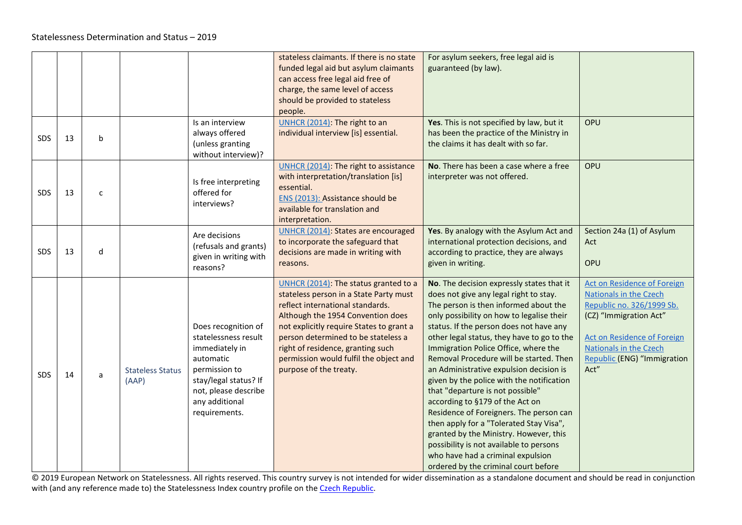<span id="page-17-0"></span>

|            |    |              |                                  |                                                                                                                                                                                 | stateless claimants. If there is no state<br>funded legal aid but asylum claimants<br>can access free legal aid free of<br>charge, the same level of access<br>should be provided to stateless<br>people.                                                                                                                                            | For asylum seekers, free legal aid is<br>guaranteed (by law).                                                                                                                                                                                                                                                                                                                                                                                                                                                                                                                                                                                                                                                                                                                |                                                                                                                                                                                                                            |
|------------|----|--------------|----------------------------------|---------------------------------------------------------------------------------------------------------------------------------------------------------------------------------|------------------------------------------------------------------------------------------------------------------------------------------------------------------------------------------------------------------------------------------------------------------------------------------------------------------------------------------------------|------------------------------------------------------------------------------------------------------------------------------------------------------------------------------------------------------------------------------------------------------------------------------------------------------------------------------------------------------------------------------------------------------------------------------------------------------------------------------------------------------------------------------------------------------------------------------------------------------------------------------------------------------------------------------------------------------------------------------------------------------------------------------|----------------------------------------------------------------------------------------------------------------------------------------------------------------------------------------------------------------------------|
| <b>SDS</b> | 13 | b            |                                  | Is an interview<br>always offered<br>(unless granting<br>without interview)?                                                                                                    | UNHCR (2014): The right to an<br>individual interview [is] essential.                                                                                                                                                                                                                                                                                | Yes. This is not specified by law, but it<br>has been the practice of the Ministry in<br>the claims it has dealt with so far.                                                                                                                                                                                                                                                                                                                                                                                                                                                                                                                                                                                                                                                | OPU                                                                                                                                                                                                                        |
| SDS        | 13 | $\mathsf{C}$ |                                  | Is free interpreting<br>offered for<br>interviews?                                                                                                                              | UNHCR (2014): The right to assistance<br>with interpretation/translation [is]<br>essential.<br>ENS (2013): Assistance should be<br>available for translation and<br>interpretation.                                                                                                                                                                  | No. There has been a case where a free<br>interpreter was not offered.                                                                                                                                                                                                                                                                                                                                                                                                                                                                                                                                                                                                                                                                                                       | OPU                                                                                                                                                                                                                        |
| SDS        | 13 | d            |                                  | Are decisions<br>(refusals and grants)<br>given in writing with<br>reasons?                                                                                                     | <b>UNHCR (2014): States are encouraged</b><br>to incorporate the safeguard that<br>decisions are made in writing with<br>reasons.                                                                                                                                                                                                                    | Yes. By analogy with the Asylum Act and<br>international protection decisions, and<br>according to practice, they are always<br>given in writing.                                                                                                                                                                                                                                                                                                                                                                                                                                                                                                                                                                                                                            | Section 24a (1) of Asylum<br>Act<br>OPU                                                                                                                                                                                    |
| <b>SDS</b> | 14 | a            | <b>Stateless Status</b><br>(AAP) | Does recognition of<br>statelessness result<br>immediately in<br>automatic<br>permission to<br>stay/legal status? If<br>not, please describe<br>any additional<br>requirements. | UNHCR (2014): The status granted to a<br>stateless person in a State Party must<br>reflect international standards.<br>Although the 1954 Convention does<br>not explicitly require States to grant a<br>person determined to be stateless a<br>right of residence, granting such<br>permission would fulfil the object and<br>purpose of the treaty. | No. The decision expressly states that it<br>does not give any legal right to stay.<br>The person is then informed about the<br>only possibility on how to legalise their<br>status. If the person does not have any<br>other legal status, they have to go to the<br>Immigration Police Office, where the<br>Removal Procedure will be started. Then<br>an Administrative expulsion decision is<br>given by the police with the notification<br>that "departure is not possible"<br>according to §179 of the Act on<br>Residence of Foreigners. The person can<br>then apply for a "Tolerated Stay Visa",<br>granted by the Ministry. However, this<br>possibility is not available to persons<br>who have had a criminal expulsion<br>ordered by the criminal court before | Act on Residence of Foreign<br><b>Nationals in the Czech</b><br>Republic no. 326/1999 Sb.<br>(CZ) "Immigration Act"<br>Act on Residence of Foreign<br><b>Nationals in the Czech</b><br>Republic (ENG) "Immigration<br>Act" |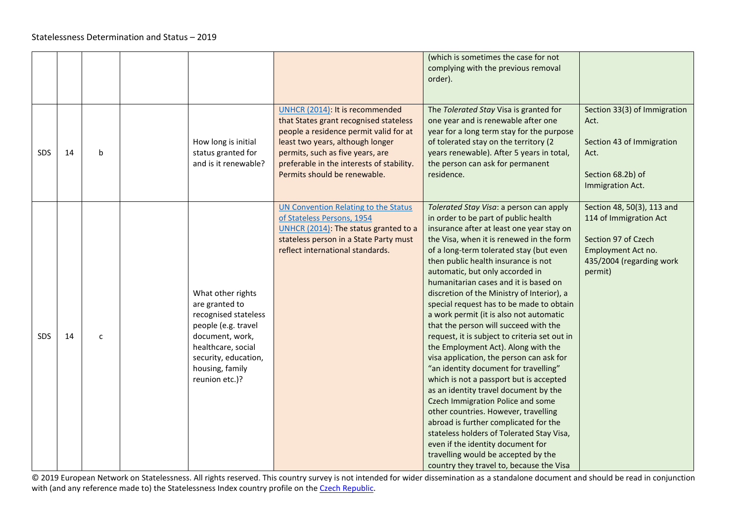|            |    |              |                                                                                                                                                                                          |                                                                                                                                                                                                                                                                          | (which is sometimes the case for not<br>complying with the previous removal<br>order).                                                                                                                                                                                                                                                                                                                                                                                                                                                                                                                                                                                                                                                                                                                                                                                                                                                                                                                                                                                           |                                                                                                                                          |
|------------|----|--------------|------------------------------------------------------------------------------------------------------------------------------------------------------------------------------------------|--------------------------------------------------------------------------------------------------------------------------------------------------------------------------------------------------------------------------------------------------------------------------|----------------------------------------------------------------------------------------------------------------------------------------------------------------------------------------------------------------------------------------------------------------------------------------------------------------------------------------------------------------------------------------------------------------------------------------------------------------------------------------------------------------------------------------------------------------------------------------------------------------------------------------------------------------------------------------------------------------------------------------------------------------------------------------------------------------------------------------------------------------------------------------------------------------------------------------------------------------------------------------------------------------------------------------------------------------------------------|------------------------------------------------------------------------------------------------------------------------------------------|
| SDS        | 14 | b            | How long is initial<br>status granted for<br>and is it renewable?                                                                                                                        | UNHCR (2014): It is recommended<br>that States grant recognised stateless<br>people a residence permit valid for at<br>least two years, although longer<br>permits, such as five years, are<br>preferable in the interests of stability.<br>Permits should be renewable. | The Tolerated Stay Visa is granted for<br>one year and is renewable after one<br>year for a long term stay for the purpose<br>of tolerated stay on the territory (2<br>years renewable). After 5 years in total,<br>the person can ask for permanent<br>residence.                                                                                                                                                                                                                                                                                                                                                                                                                                                                                                                                                                                                                                                                                                                                                                                                               | Section 33(3) of Immigration<br>Act.<br>Section 43 of Immigration<br>Act.<br>Section 68.2b) of<br>Immigration Act.                       |
| <b>SDS</b> | 14 | $\mathsf{C}$ | What other rights<br>are granted to<br>recognised stateless<br>people (e.g. travel<br>document, work,<br>healthcare, social<br>security, education,<br>housing, family<br>reunion etc.)? | <b>UN Convention Relating to the Status</b><br>of Stateless Persons, 1954<br>UNHCR (2014): The status granted to a<br>stateless person in a State Party must<br>reflect international standards.                                                                         | Tolerated Stay Visa: a person can apply<br>in order to be part of public health<br>insurance after at least one year stay on<br>the Visa, when it is renewed in the form<br>of a long-term tolerated stay (but even<br>then public health insurance is not<br>automatic, but only accorded in<br>humanitarian cases and it is based on<br>discretion of the Ministry of Interior), a<br>special request has to be made to obtain<br>a work permit (it is also not automatic<br>that the person will succeed with the<br>request, it is subject to criteria set out in<br>the Employment Act). Along with the<br>visa application, the person can ask for<br>"an identity document for travelling"<br>which is not a passport but is accepted<br>as an identity travel document by the<br>Czech Immigration Police and some<br>other countries. However, travelling<br>abroad is further complicated for the<br>stateless holders of Tolerated Stay Visa,<br>even if the identity document for<br>travelling would be accepted by the<br>country they travel to, because the Visa | Section 48, 50(3), 113 and<br>114 of Immigration Act<br>Section 97 of Czech<br>Employment Act no.<br>435/2004 (regarding work<br>permit) |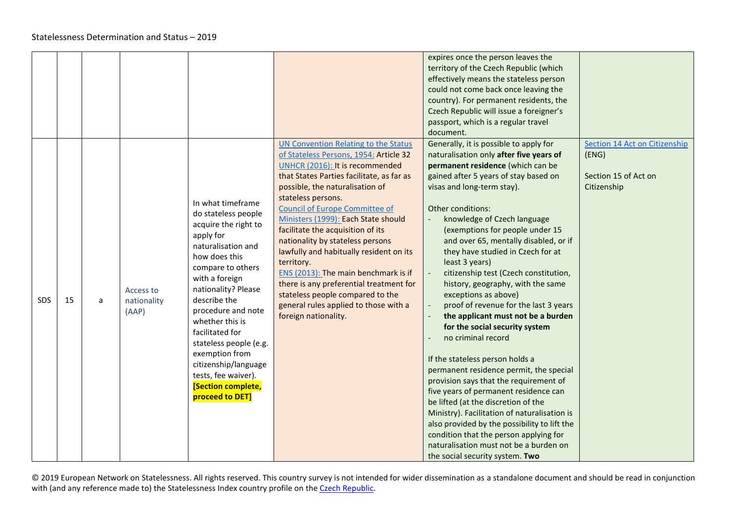<span id="page-19-0"></span>

|     |    |   |                                          |                                                                                                                                                                                                                                                                                                                                                                                                           |                                                                                                                                                                                                                                                                                                                                                                                                                                                                                                                                                                                                                                   | expires once the person leaves the<br>territory of the Czech Republic (which<br>effectively means the stateless person<br>could not come back once leaving the<br>country). For permanent residents, the<br>Czech Republic will issue a foreigner's<br>passport, which is a regular travel<br>document.                                                                                                                                                                                                                                                                                                                                                                                                                                                                                                                                                                                                                                                                                                                                                          |                                                                               |
|-----|----|---|------------------------------------------|-----------------------------------------------------------------------------------------------------------------------------------------------------------------------------------------------------------------------------------------------------------------------------------------------------------------------------------------------------------------------------------------------------------|-----------------------------------------------------------------------------------------------------------------------------------------------------------------------------------------------------------------------------------------------------------------------------------------------------------------------------------------------------------------------------------------------------------------------------------------------------------------------------------------------------------------------------------------------------------------------------------------------------------------------------------|------------------------------------------------------------------------------------------------------------------------------------------------------------------------------------------------------------------------------------------------------------------------------------------------------------------------------------------------------------------------------------------------------------------------------------------------------------------------------------------------------------------------------------------------------------------------------------------------------------------------------------------------------------------------------------------------------------------------------------------------------------------------------------------------------------------------------------------------------------------------------------------------------------------------------------------------------------------------------------------------------------------------------------------------------------------|-------------------------------------------------------------------------------|
| SDS | 15 | a | <b>Access to</b><br>nationality<br>(AAP) | In what timeframe<br>do stateless people<br>acquire the right to<br>apply for<br>naturalisation and<br>how does this<br>compare to others<br>with a foreign<br>nationality? Please<br>describe the<br>procedure and note<br>whether this is<br>facilitated for<br>stateless people (e.g.<br>exemption from<br>citizenship/language<br>tests, fee waiver).<br><b>[Section complete,</b><br>proceed to DET] | UN Convention Relating to the Status<br>of Stateless Persons, 1954: Article 32<br>UNHCR (2016): It is recommended<br>that States Parties facilitate, as far as<br>possible, the naturalisation of<br>stateless persons.<br><b>Council of Europe Committee of</b><br>Ministers (1999): Each State should<br>facilitate the acquisition of its<br>nationality by stateless persons<br>lawfully and habitually resident on its<br>territory.<br>ENS (2013): The main benchmark is if<br>there is any preferential treatment for<br>stateless people compared to the<br>general rules applied to those with a<br>foreign nationality. | Generally, it is possible to apply for<br>naturalisation only after five years of<br>permanent residence (which can be<br>gained after 5 years of stay based on<br>visas and long-term stay).<br>Other conditions:<br>knowledge of Czech language<br>(exemptions for people under 15<br>and over 65, mentally disabled, or if<br>they have studied in Czech for at<br>least 3 years)<br>citizenship test (Czech constitution,<br>history, geography, with the same<br>exceptions as above)<br>proof of revenue for the last 3 years<br>the applicant must not be a burden<br>for the social security system<br>no criminal record<br>If the stateless person holds a<br>permanent residence permit, the special<br>provision says that the requirement of<br>five years of permanent residence can<br>be lifted (at the discretion of the<br>Ministry). Facilitation of naturalisation is<br>also provided by the possibility to lift the<br>condition that the person applying for<br>naturalisation must not be a burden on<br>the social security system. Two | Section 14 Act on Citizenship<br>(ENG)<br>Section 15 of Act on<br>Citizenship |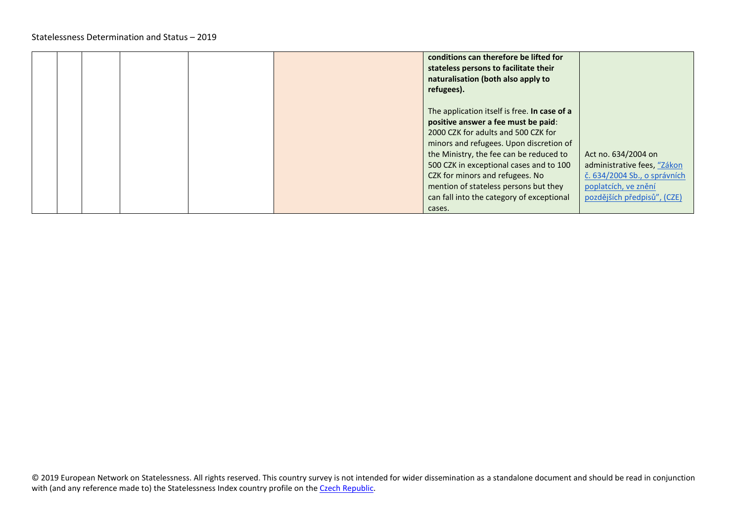|  |  | conditions can therefore be lifted for<br>stateless persons to facilitate their<br>naturalisation (both also apply to<br>refugees).                                                                                                                                                                                                                                                            |                                                                                                                                           |
|--|--|------------------------------------------------------------------------------------------------------------------------------------------------------------------------------------------------------------------------------------------------------------------------------------------------------------------------------------------------------------------------------------------------|-------------------------------------------------------------------------------------------------------------------------------------------|
|  |  | The application itself is free. In case of a<br>positive answer a fee must be paid:<br>2000 CZK for adults and 500 CZK for<br>minors and refugees. Upon discretion of<br>the Ministry, the fee can be reduced to<br>500 CZK in exceptional cases and to 100<br>CZK for minors and refugees. No<br>mention of stateless persons but they<br>can fall into the category of exceptional<br>cases. | Act no. 634/2004 on<br>administrative fees, "Zákon<br>č. 634/2004 Sb., o správních<br>poplatcích, ve znění<br>pozdějších předpisů", (CZE) |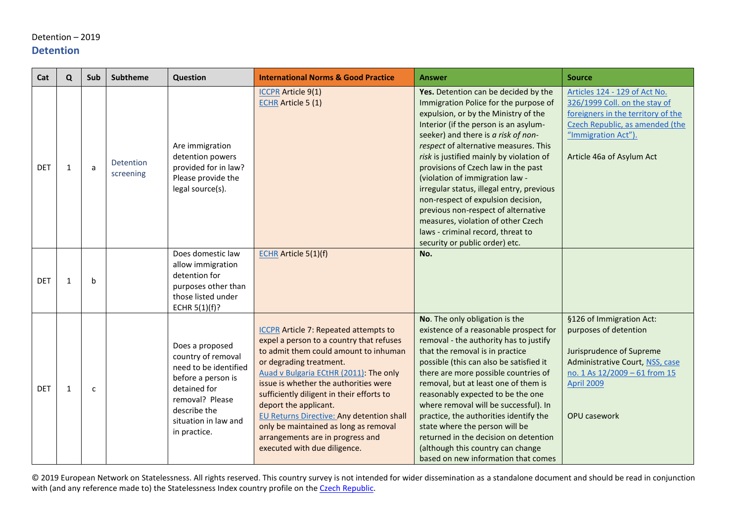### <span id="page-21-0"></span>Detention – 2019 **Detention**

<span id="page-21-1"></span>

| Cat        | Q            | Sub | <b>Subtheme</b>        | Question                                                                                                                                                                        | <b>International Norms &amp; Good Practice</b>                                                                                                                                                                                                                                                                                                                                                                                                                                  | <b>Answer</b>                                                                                                                                                                                                                                                                                                                                                                                                                                                                                                                                                                                               | <b>Source</b>                                                                                                                                                                               |
|------------|--------------|-----|------------------------|---------------------------------------------------------------------------------------------------------------------------------------------------------------------------------|---------------------------------------------------------------------------------------------------------------------------------------------------------------------------------------------------------------------------------------------------------------------------------------------------------------------------------------------------------------------------------------------------------------------------------------------------------------------------------|-------------------------------------------------------------------------------------------------------------------------------------------------------------------------------------------------------------------------------------------------------------------------------------------------------------------------------------------------------------------------------------------------------------------------------------------------------------------------------------------------------------------------------------------------------------------------------------------------------------|---------------------------------------------------------------------------------------------------------------------------------------------------------------------------------------------|
| <b>DET</b> | $\mathbf{1}$ | a   | Detention<br>screening | Are immigration<br>detention powers<br>provided for in law?<br>Please provide the<br>legal source(s).                                                                           | <b>ICCPR</b> Article 9(1)<br><b>ECHR</b> Article 5 (1)                                                                                                                                                                                                                                                                                                                                                                                                                          | Yes. Detention can be decided by the<br>Immigration Police for the purpose of<br>expulsion, or by the Ministry of the<br>Interior (if the person is an asylum-<br>seeker) and there is a risk of non-<br>respect of alternative measures. This<br>risk is justified mainly by violation of<br>provisions of Czech law in the past<br>(violation of immigration law -<br>irregular status, illegal entry, previous<br>non-respect of expulsion decision,<br>previous non-respect of alternative<br>measures, violation of other Czech<br>laws - criminal record, threat to<br>security or public order) etc. | Articles 124 - 129 of Act No.<br>326/1999 Coll. on the stay of<br>foreigners in the territory of the<br>Czech Republic, as amended (the<br>"Immigration Act").<br>Article 46a of Asylum Act |
| <b>DET</b> | 1            | b   |                        | Does domestic law<br>allow immigration<br>detention for<br>purposes other than<br>those listed under<br>ECHR 5(1)(f)?                                                           | <b>ECHR</b> Article 5(1)(f)                                                                                                                                                                                                                                                                                                                                                                                                                                                     | No.                                                                                                                                                                                                                                                                                                                                                                                                                                                                                                                                                                                                         |                                                                                                                                                                                             |
| <b>DET</b> | 1            | c   |                        | Does a proposed<br>country of removal<br>need to be identified<br>before a person is<br>detained for<br>removal? Please<br>describe the<br>situation in law and<br>in practice. | <b>ICCPR Article 7: Repeated attempts to</b><br>expel a person to a country that refuses<br>to admit them could amount to inhuman<br>or degrading treatment.<br>Auad v Bulgaria ECtHR (2011): The only<br>issue is whether the authorities were<br>sufficiently diligent in their efforts to<br>deport the applicant.<br>EU Returns Directive: Any detention shall<br>only be maintained as long as removal<br>arrangements are in progress and<br>executed with due diligence. | No. The only obligation is the<br>existence of a reasonable prospect for<br>removal - the authority has to justify<br>that the removal is in practice<br>possible (this can also be satisfied it<br>there are more possible countries of<br>removal, but at least one of them is<br>reasonably expected to be the one<br>where removal will be successful). In<br>practice, the authorities identify the<br>state where the person will be<br>returned in the decision on detention<br>(although this country can change<br>based on new information that comes                                             | §126 of Immigration Act:<br>purposes of detention<br>Jurisprudence of Supreme<br>Administrative Court, NSS, case<br>no. 1 As 12/2009 - 61 from 15<br><b>April 2009</b><br>OPU casework      |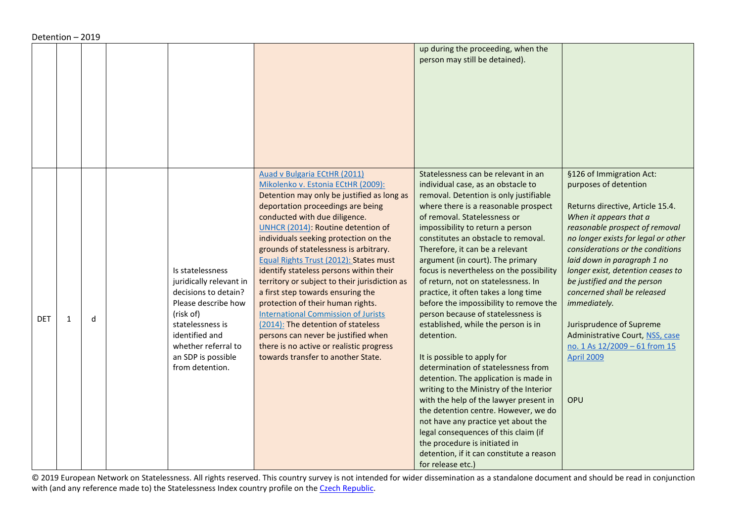|            |              |   |                                                                                                                                                                                                               |                                                                                                                                                                                                                                                                                                                                                                                                                                                                                                                                                                                                                                                                                                                                                     | up during the proceeding, when the<br>person may still be detained).                                                                                                                                                                                                                                                                                                                                                                                                                                                                                                                                                                                                                                                                                                                                                                                                                                                                                                                                                                       |                                                                                                                                                                                                                                                                                                                                                                                                                                                                                                            |
|------------|--------------|---|---------------------------------------------------------------------------------------------------------------------------------------------------------------------------------------------------------------|-----------------------------------------------------------------------------------------------------------------------------------------------------------------------------------------------------------------------------------------------------------------------------------------------------------------------------------------------------------------------------------------------------------------------------------------------------------------------------------------------------------------------------------------------------------------------------------------------------------------------------------------------------------------------------------------------------------------------------------------------------|--------------------------------------------------------------------------------------------------------------------------------------------------------------------------------------------------------------------------------------------------------------------------------------------------------------------------------------------------------------------------------------------------------------------------------------------------------------------------------------------------------------------------------------------------------------------------------------------------------------------------------------------------------------------------------------------------------------------------------------------------------------------------------------------------------------------------------------------------------------------------------------------------------------------------------------------------------------------------------------------------------------------------------------------|------------------------------------------------------------------------------------------------------------------------------------------------------------------------------------------------------------------------------------------------------------------------------------------------------------------------------------------------------------------------------------------------------------------------------------------------------------------------------------------------------------|
| <b>DET</b> | $\mathbf{1}$ | d | Is statelessness<br>juridically relevant in<br>decisions to detain?<br>Please describe how<br>(risk of)<br>statelessness is<br>identified and<br>whether referral to<br>an SDP is possible<br>from detention. | <b>Auad v Bulgaria ECtHR (2011)</b><br>Mikolenko v. Estonia ECtHR (2009):<br>Detention may only be justified as long as<br>deportation proceedings are being<br>conducted with due diligence.<br>UNHCR (2014): Routine detention of<br>individuals seeking protection on the<br>grounds of statelessness is arbitrary.<br>Equal Rights Trust (2012): States must<br>identify stateless persons within their<br>territory or subject to their jurisdiction as<br>a first step towards ensuring the<br>protection of their human rights.<br><b>International Commission of Jurists</b><br>(2014): The detention of stateless<br>persons can never be justified when<br>there is no active or realistic progress<br>towards transfer to another State. | Statelessness can be relevant in an<br>individual case, as an obstacle to<br>removal. Detention is only justifiable<br>where there is a reasonable prospect<br>of removal. Statelessness or<br>impossibility to return a person<br>constitutes an obstacle to removal.<br>Therefore, it can be a relevant<br>argument (in court). The primary<br>focus is nevertheless on the possibility<br>of return, not on statelessness. In<br>practice, it often takes a long time<br>before the impossibility to remove the<br>person because of statelessness is<br>established, while the person is in<br>detention.<br>It is possible to apply for<br>determination of statelessness from<br>detention. The application is made in<br>writing to the Ministry of the Interior<br>with the help of the lawyer present in<br>the detention centre. However, we do<br>not have any practice yet about the<br>legal consequences of this claim (if<br>the procedure is initiated in<br>detention, if it can constitute a reason<br>for release etc.) | §126 of Immigration Act:<br>purposes of detention<br>Returns directive, Article 15.4.<br>When it appears that a<br>reasonable prospect of removal<br>no longer exists for legal or other<br>considerations or the conditions<br>laid down in paragraph 1 no<br>longer exist, detention ceases to<br>be justified and the person<br>concerned shall be released<br>immediately.<br>Jurisprudence of Supreme<br>Administrative Court, NSS, case<br>no. 1 As 12/2009 - 61 from 15<br><b>April 2009</b><br>OPU |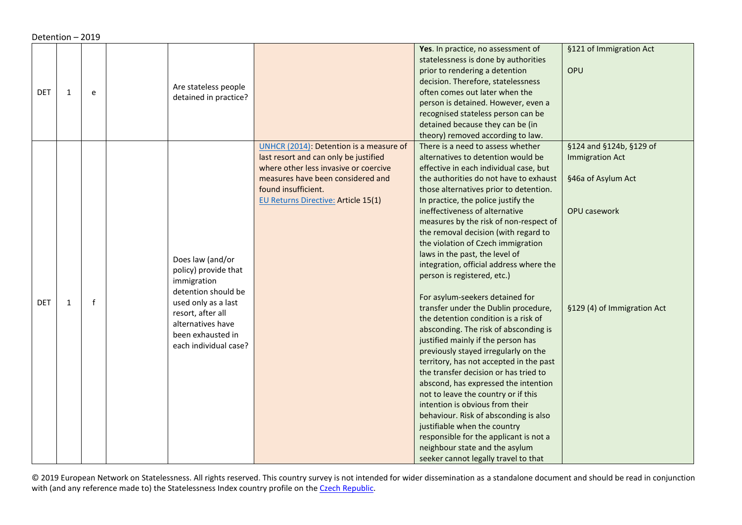Detention – 2019

| DET | $\mathbf{1}$ | e            | Are stateless people  |                                            | Yes. In practice, no assessment of<br>statelessness is done by authorities<br>prior to rendering a detention<br>decision. Therefore, statelessness<br>often comes out later when the | §121 of Immigration Act<br>OPU |
|-----|--------------|--------------|-----------------------|--------------------------------------------|--------------------------------------------------------------------------------------------------------------------------------------------------------------------------------------|--------------------------------|
|     |              |              | detained in practice? |                                            | person is detained. However, even a<br>recognised stateless person can be<br>detained because they can be (in<br>theory) removed according to law.                                   |                                |
|     |              |              |                       | UNHCR (2014): Detention is a measure of    | There is a need to assess whether                                                                                                                                                    | §124 and §124b, §129 of        |
|     |              |              |                       | last resort and can only be justified      | alternatives to detention would be                                                                                                                                                   | <b>Immigration Act</b>         |
|     |              |              |                       | where other less invasive or coercive      | effective in each individual case, but                                                                                                                                               |                                |
|     |              |              |                       | measures have been considered and          | the authorities do not have to exhaust                                                                                                                                               | §46a of Asylum Act             |
|     |              |              |                       | found insufficient.                        | those alternatives prior to detention.                                                                                                                                               |                                |
|     |              |              |                       | <b>EU Returns Directive: Article 15(1)</b> | In practice, the police justify the                                                                                                                                                  |                                |
|     |              |              |                       |                                            | ineffectiveness of alternative                                                                                                                                                       | <b>OPU casework</b>            |
|     |              |              |                       |                                            | measures by the risk of non-respect of                                                                                                                                               |                                |
|     |              |              |                       |                                            | the removal decision (with regard to                                                                                                                                                 |                                |
|     |              |              |                       |                                            | the violation of Czech immigration                                                                                                                                                   |                                |
|     |              |              | Does law (and/or      |                                            | laws in the past, the level of                                                                                                                                                       |                                |
|     |              |              | policy) provide that  |                                            | integration, official address where the                                                                                                                                              |                                |
|     |              |              | immigration           |                                            | person is registered, etc.)                                                                                                                                                          |                                |
|     |              |              | detention should be   |                                            | For asylum-seekers detained for                                                                                                                                                      |                                |
| DET | $\mathbf{1}$ | $\mathsf{f}$ | used only as a last   |                                            | transfer under the Dublin procedure,                                                                                                                                                 | §129 (4) of Immigration Act    |
|     |              |              | resort, after all     |                                            | the detention condition is a risk of                                                                                                                                                 |                                |
|     |              |              | alternatives have     |                                            | absconding. The risk of absconding is                                                                                                                                                |                                |
|     |              |              | been exhausted in     |                                            | justified mainly if the person has                                                                                                                                                   |                                |
|     |              |              | each individual case? |                                            | previously stayed irregularly on the                                                                                                                                                 |                                |
|     |              |              |                       |                                            | territory, has not accepted in the past                                                                                                                                              |                                |
|     |              |              |                       |                                            | the transfer decision or has tried to                                                                                                                                                |                                |
|     |              |              |                       |                                            | abscond, has expressed the intention                                                                                                                                                 |                                |
|     |              |              |                       |                                            | not to leave the country or if this                                                                                                                                                  |                                |
|     |              |              |                       |                                            | intention is obvious from their                                                                                                                                                      |                                |
|     |              |              |                       |                                            | behaviour. Risk of absconding is also                                                                                                                                                |                                |
|     |              |              |                       |                                            | justifiable when the country                                                                                                                                                         |                                |
|     |              |              |                       |                                            | responsible for the applicant is not a                                                                                                                                               |                                |
|     |              |              |                       |                                            | neighbour state and the asylum                                                                                                                                                       |                                |
|     |              |              |                       |                                            | seeker cannot legally travel to that                                                                                                                                                 |                                |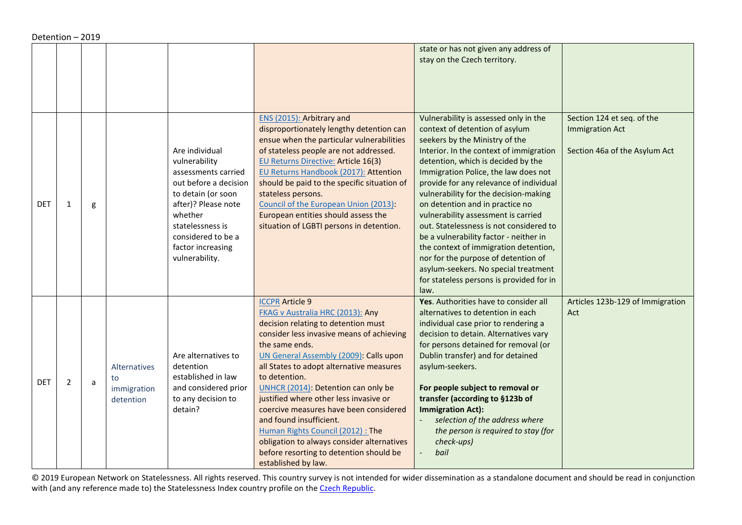| Detention - 2019 |  |
|------------------|--|
|------------------|--|

<span id="page-24-0"></span>

|            |                |   |                                                       |                                                                                                                                                                                                                          |                                                                                                                                                                                                                                                                                                                                                                                                                                                                                                                                                                                   | state or has not given any address of<br>stay on the Czech territory.                                                                                                                                                                                                                                                                                                                                                                                                                                                                                                                                                                                             |                                                                                       |
|------------|----------------|---|-------------------------------------------------------|--------------------------------------------------------------------------------------------------------------------------------------------------------------------------------------------------------------------------|-----------------------------------------------------------------------------------------------------------------------------------------------------------------------------------------------------------------------------------------------------------------------------------------------------------------------------------------------------------------------------------------------------------------------------------------------------------------------------------------------------------------------------------------------------------------------------------|-------------------------------------------------------------------------------------------------------------------------------------------------------------------------------------------------------------------------------------------------------------------------------------------------------------------------------------------------------------------------------------------------------------------------------------------------------------------------------------------------------------------------------------------------------------------------------------------------------------------------------------------------------------------|---------------------------------------------------------------------------------------|
| DET        | 1              | g |                                                       | Are individual<br>vulnerability<br>assessments carried<br>out before a decision<br>to detain (or soon<br>after)? Please note<br>whether<br>statelessness is<br>considered to be a<br>factor increasing<br>vulnerability. | ENS (2015): Arbitrary and<br>disproportionately lengthy detention can<br>ensue when the particular vulnerabilities<br>of stateless people are not addressed.<br>EU Returns Directive: Article 16(3)<br>EU Returns Handbook (2017): Attention<br>should be paid to the specific situation of<br>stateless persons.<br>Council of the European Union (2013):<br>European entities should assess the<br>situation of LGBTI persons in detention.                                                                                                                                     | Vulnerability is assessed only in the<br>context of detention of asylum<br>seekers by the Ministry of the<br>Interior. In the context of immigration<br>detention, which is decided by the<br>Immigration Police, the law does not<br>provide for any relevance of individual<br>vulnerability for the decision-making<br>on detention and in practice no<br>vulnerability assessment is carried<br>out. Statelessness is not considered to<br>be a vulnerability factor - neither in<br>the context of immigration detention,<br>nor for the purpose of detention of<br>asylum-seekers. No special treatment<br>for stateless persons is provided for in<br>law. | Section 124 et seq. of the<br><b>Immigration Act</b><br>Section 46a of the Asylum Act |
| <b>DET</b> | $\overline{2}$ | a | <b>Alternatives</b><br>to<br>immigration<br>detention | Are alternatives to<br>detention<br>established in law<br>and considered prior<br>to any decision to<br>detain?                                                                                                          | <b>ICCPR Article 9</b><br>FKAG v Australia HRC (2013): Any<br>decision relating to detention must<br>consider less invasive means of achieving<br>the same ends.<br>UN General Assembly (2009): Calls upon<br>all States to adopt alternative measures<br>to detention.<br>UNHCR (2014): Detention can only be<br>justified where other less invasive or<br>coercive measures have been considered<br>and found insufficient.<br>Human Rights Council (2012): The<br>obligation to always consider alternatives<br>before resorting to detention should be<br>established by law. | Yes. Authorities have to consider all<br>alternatives to detention in each<br>individual case prior to rendering a<br>decision to detain. Alternatives vary<br>for persons detained for removal (or<br>Dublin transfer) and for detained<br>asylum-seekers.<br>For people subject to removal or<br>transfer (according to §123b of<br><b>Immigration Act):</b><br>selection of the address where<br>the person is required to stay (for<br>check-ups)<br>bail                                                                                                                                                                                                     | Articles 123b-129 of Immigration<br>Act                                               |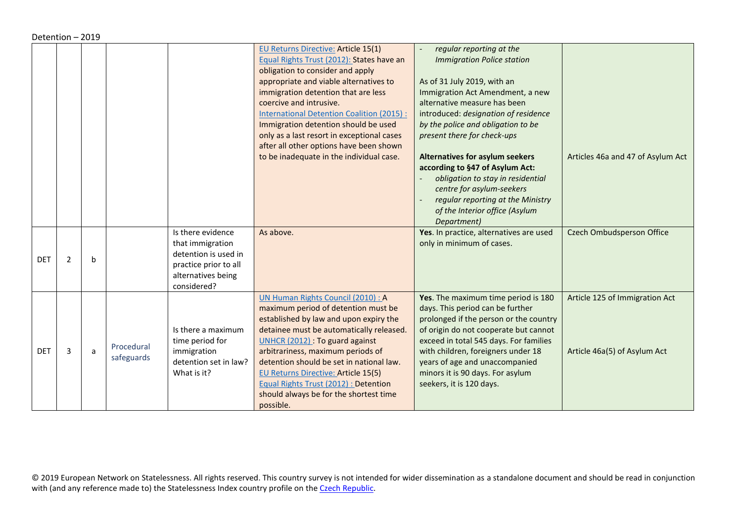<span id="page-25-0"></span>

|            |   |   |                          |                                                                                                                             | EU Returns Directive: Article 15(1)<br>Equal Rights Trust (2012): States have an<br>obligation to consider and apply<br>appropriate and viable alternatives to<br>immigration detention that are less<br>coercive and intrusive.<br><b>International Detention Coalition (2015):</b><br>Immigration detention should be used<br>only as a last resort in exceptional cases                                                        | regular reporting at the<br><b>Immigration Police station</b><br>As of 31 July 2019, with an<br>Immigration Act Amendment, a new<br>alternative measure has been<br>introduced: designation of residence<br>by the police and obligation to be<br>present there for check-ups                                                                |                                                                |
|------------|---|---|--------------------------|-----------------------------------------------------------------------------------------------------------------------------|-----------------------------------------------------------------------------------------------------------------------------------------------------------------------------------------------------------------------------------------------------------------------------------------------------------------------------------------------------------------------------------------------------------------------------------|----------------------------------------------------------------------------------------------------------------------------------------------------------------------------------------------------------------------------------------------------------------------------------------------------------------------------------------------|----------------------------------------------------------------|
|            |   |   |                          |                                                                                                                             | after all other options have been shown<br>to be inadequate in the individual case.                                                                                                                                                                                                                                                                                                                                               | <b>Alternatives for asylum seekers</b><br>according to §47 of Asylum Act:<br>obligation to stay in residential<br>centre for asylum-seekers<br>regular reporting at the Ministry<br>of the Interior office (Asylum<br>Department)                                                                                                            | Articles 46a and 47 of Asylum Act                              |
| <b>DET</b> | 2 | b |                          | Is there evidence<br>that immigration<br>detention is used in<br>practice prior to all<br>alternatives being<br>considered? | As above.                                                                                                                                                                                                                                                                                                                                                                                                                         | Yes. In practice, alternatives are used<br>only in minimum of cases.                                                                                                                                                                                                                                                                         | <b>Czech Ombudsperson Office</b>                               |
| <b>DET</b> | 3 | a | Procedural<br>safeguards | Is there a maximum<br>time period for<br>immigration<br>detention set in law?<br>What is it?                                | UN Human Rights Council (2010) : A<br>maximum period of detention must be<br>established by law and upon expiry the<br>detainee must be automatically released.<br>UNHCR (2012) : To guard against<br>arbitrariness, maximum periods of<br>detention should be set in national law.<br><b>EU Returns Directive: Article 15(5)</b><br>Equal Rights Trust (2012) : Detention<br>should always be for the shortest time<br>possible. | Yes. The maximum time period is 180<br>days. This period can be further<br>prolonged if the person or the country<br>of origin do not cooperate but cannot<br>exceed in total 545 days. For families<br>with children, foreigners under 18<br>years of age and unaccompanied<br>minors it is 90 days. For asylum<br>seekers, it is 120 days. | Article 125 of Immigration Act<br>Article 46a(5) of Asylum Act |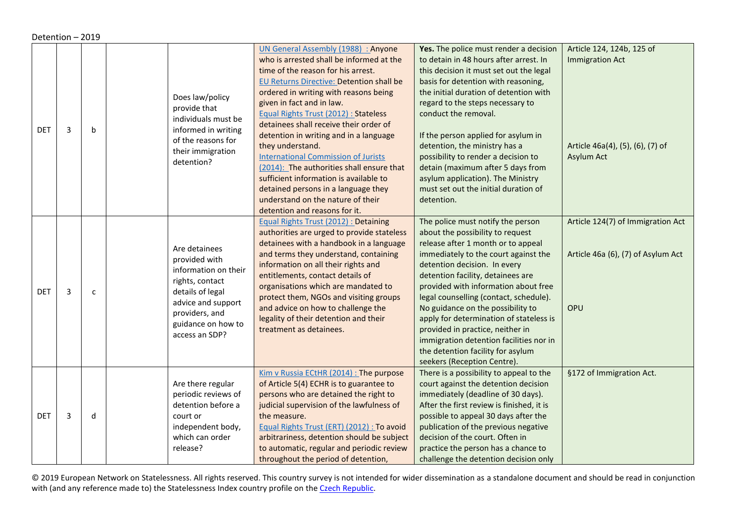|            | Detention - 2019 |              |                                                                                                                                                                               |                                                                                                                                                                                                                                                                                                                                                                                                                                                                                                                                                                                                                                                   |                                                                                                                                                                                                                                                                                                                                                                                                                                                                                                                                               |                                                                                                       |  |  |  |
|------------|------------------|--------------|-------------------------------------------------------------------------------------------------------------------------------------------------------------------------------|---------------------------------------------------------------------------------------------------------------------------------------------------------------------------------------------------------------------------------------------------------------------------------------------------------------------------------------------------------------------------------------------------------------------------------------------------------------------------------------------------------------------------------------------------------------------------------------------------------------------------------------------------|-----------------------------------------------------------------------------------------------------------------------------------------------------------------------------------------------------------------------------------------------------------------------------------------------------------------------------------------------------------------------------------------------------------------------------------------------------------------------------------------------------------------------------------------------|-------------------------------------------------------------------------------------------------------|--|--|--|
| <b>DET</b> | 3                | $\mathbf b$  | Does law/policy<br>provide that<br>individuals must be<br>informed in writing<br>of the reasons for<br>their immigration<br>detention?                                        | <b>UN General Assembly (1988) : Anyone</b><br>who is arrested shall be informed at the<br>time of the reason for his arrest.<br>EU Returns Directive: Detention shall be<br>ordered in writing with reasons being<br>given in fact and in law.<br>Equal Rights Trust (2012) : Stateless<br>detainees shall receive their order of<br>detention in writing and in a language<br>they understand.<br><b>International Commission of Jurists</b><br>(2014): The authorities shall ensure that<br>sufficient information is available to<br>detained persons in a language they<br>understand on the nature of their<br>detention and reasons for it. | Yes. The police must render a decision<br>to detain in 48 hours after arrest. In<br>this decision it must set out the legal<br>basis for detention with reasoning,<br>the initial duration of detention with<br>regard to the steps necessary to<br>conduct the removal.<br>If the person applied for asylum in<br>detention, the ministry has a<br>possibility to render a decision to<br>detain (maximum after 5 days from<br>asylum application). The Ministry<br>must set out the initial duration of<br>detention.                       | Article 124, 124b, 125 of<br><b>Immigration Act</b><br>Article 46a(4), (5), (6), (7) of<br>Asylum Act |  |  |  |
| <b>DET</b> | 3                | $\mathbf{C}$ | Are detainees<br>provided with<br>information on their<br>rights, contact<br>details of legal<br>advice and support<br>providers, and<br>guidance on how to<br>access an SDP? | Equal Rights Trust (2012) : Detaining<br>authorities are urged to provide stateless<br>detainees with a handbook in a language<br>and terms they understand, containing<br>information on all their rights and<br>entitlements, contact details of<br>organisations which are mandated to<br>protect them, NGOs and visiting groups<br>and advice on how to challenge the<br>legality of their detention and their<br>treatment as detainees.                                                                                                                                                                                                     | The police must notify the person<br>about the possibility to request<br>release after 1 month or to appeal<br>immediately to the court against the<br>detention decision. In every<br>detention facility, detainees are<br>provided with information about free<br>legal counselling (contact, schedule).<br>No guidance on the possibility to<br>apply for determination of stateless is<br>provided in practice, neither in<br>immigration detention facilities nor in<br>the detention facility for asylum<br>seekers (Reception Centre). | Article 124(7) of Immigration Act<br>Article 46a (6), (7) of Asylum Act<br>OPU                        |  |  |  |
| <b>DET</b> | 3                | d            | Are there regular<br>periodic reviews of<br>detention before a<br>court or<br>independent body,<br>which can order<br>release?                                                | Kim v Russia ECtHR (2014) : The purpose<br>of Article 5(4) ECHR is to guarantee to<br>persons who are detained the right to<br>judicial supervision of the lawfulness of<br>the measure.<br>Equal Rights Trust (ERT) (2012) : To avoid<br>arbitrariness, detention should be subject<br>to automatic, regular and periodic review<br>throughout the period of detention,                                                                                                                                                                                                                                                                          | There is a possibility to appeal to the<br>court against the detention decision<br>immediately (deadline of 30 days).<br>After the first review is finished, it is<br>possible to appeal 30 days after the<br>publication of the previous negative<br>decision of the court. Often in<br>practice the person has a chance to<br>challenge the detention decision only                                                                                                                                                                         | §172 of Immigration Act.                                                                              |  |  |  |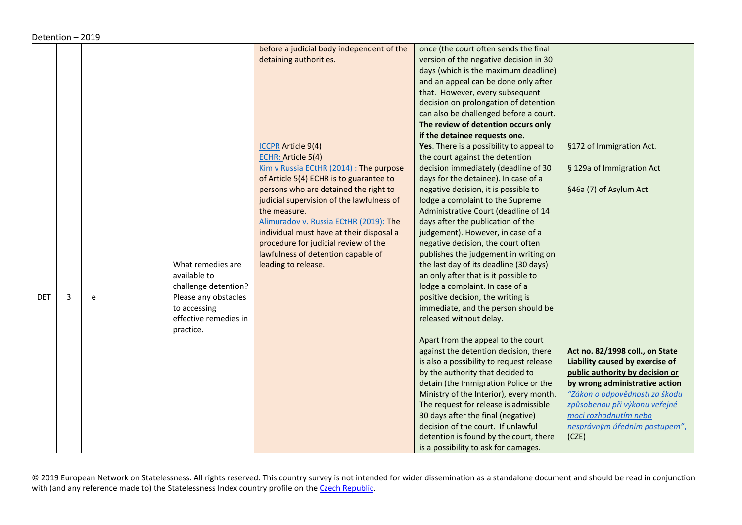|            |   |   |                       | before a judicial body independent of the | once (the court often sends the final    |                                        |
|------------|---|---|-----------------------|-------------------------------------------|------------------------------------------|----------------------------------------|
|            |   |   |                       | detaining authorities.                    | version of the negative decision in 30   |                                        |
|            |   |   |                       |                                           | days (which is the maximum deadline)     |                                        |
|            |   |   |                       |                                           | and an appeal can be done only after     |                                        |
|            |   |   |                       |                                           | that. However, every subsequent          |                                        |
|            |   |   |                       |                                           | decision on prolongation of detention    |                                        |
|            |   |   |                       |                                           | can also be challenged before a court.   |                                        |
|            |   |   |                       |                                           | The review of detention occurs only      |                                        |
|            |   |   |                       |                                           | if the detainee requests one.            |                                        |
|            |   |   |                       | <b>ICCPR</b> Article 9(4)                 | Yes. There is a possibility to appeal to | §172 of Immigration Act.               |
|            |   |   |                       | ECHR: Article 5(4)                        | the court against the detention          |                                        |
|            |   |   |                       | Kim v Russia ECtHR (2014) : The purpose   | decision immediately (deadline of 30     | § 129a of Immigration Act              |
|            |   |   |                       | of Article 5(4) ECHR is to guarantee to   | days for the detainee). In case of a     |                                        |
|            |   |   |                       | persons who are detained the right to     | negative decision, it is possible to     | §46a (7) of Asylum Act                 |
|            |   |   |                       | judicial supervision of the lawfulness of | lodge a complaint to the Supreme         |                                        |
|            |   |   |                       | the measure.                              | Administrative Court (deadline of 14     |                                        |
|            |   |   |                       | Alimuradov v. Russia ECtHR (2019): The    | days after the publication of the        |                                        |
|            |   |   |                       | individual must have at their disposal a  | judgement). However, in case of a        |                                        |
|            |   |   |                       | procedure for judicial review of the      | negative decision, the court often       |                                        |
|            |   |   |                       | lawfulness of detention capable of        | publishes the judgement in writing on    |                                        |
|            |   |   | What remedies are     | leading to release.                       | the last day of its deadline (30 days)   |                                        |
|            |   |   | available to          |                                           | an only after that is it possible to     |                                        |
|            |   |   | challenge detention?  |                                           | lodge a complaint. In case of a          |                                        |
| <b>DET</b> | 3 | e | Please any obstacles  |                                           | positive decision, the writing is        |                                        |
|            |   |   | to accessing          |                                           | immediate, and the person should be      |                                        |
|            |   |   | effective remedies in |                                           | released without delay.                  |                                        |
|            |   |   | practice.             |                                           |                                          |                                        |
|            |   |   |                       |                                           | Apart from the appeal to the court       |                                        |
|            |   |   |                       |                                           | against the detention decision, there    | Act no. 82/1998 coll., on State        |
|            |   |   |                       |                                           | is also a possibility to request release | <b>Liability caused by exercise of</b> |
|            |   |   |                       |                                           | by the authority that decided to         | public authority by decision or        |
|            |   |   |                       |                                           | detain (the Immigration Police or the    | by wrong administrative action         |
|            |   |   |                       |                                           | Ministry of the Interior), every month.  | "Zákon o odpovědnosti za škodu         |
|            |   |   |                       |                                           | The request for release is admissible    | způsobenou při výkonu veřejné          |
|            |   |   |                       |                                           | 30 days after the final (negative)       | moci rozhodnutím nebo                  |
|            |   |   |                       |                                           | decision of the court. If unlawful       | nesprávným úředním postupem",          |
|            |   |   |                       |                                           | detention is found by the court, there   | (CZE)                                  |
|            |   |   |                       |                                           | is a possibility to ask for damages.     |                                        |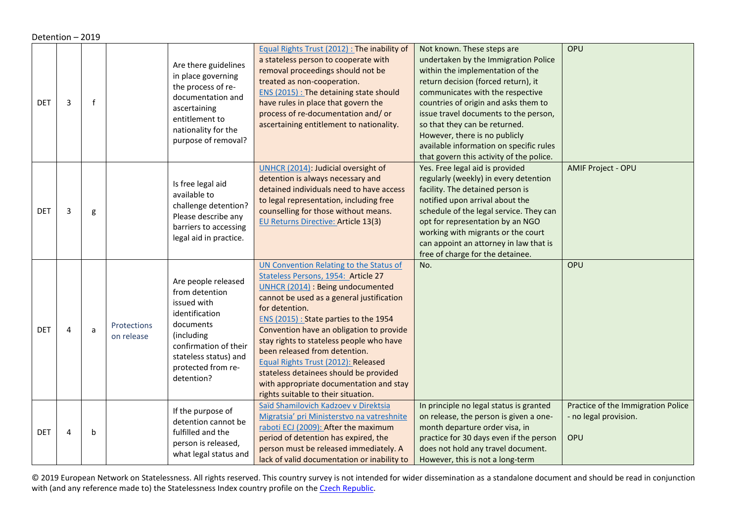<span id="page-28-0"></span>

|            | Detention - 2019 |             |                                  |                                                                                                                                                                                         |                                                                                                                                                                                                                                                                                                                                                                                                                                                                                                                                 |                                                                                                                                                                                                                                                                                                                                                                                                                             |                                                                    |  |  |
|------------|------------------|-------------|----------------------------------|-----------------------------------------------------------------------------------------------------------------------------------------------------------------------------------------|---------------------------------------------------------------------------------------------------------------------------------------------------------------------------------------------------------------------------------------------------------------------------------------------------------------------------------------------------------------------------------------------------------------------------------------------------------------------------------------------------------------------------------|-----------------------------------------------------------------------------------------------------------------------------------------------------------------------------------------------------------------------------------------------------------------------------------------------------------------------------------------------------------------------------------------------------------------------------|--------------------------------------------------------------------|--|--|
| <b>DET</b> | 3                | $\mathbf f$ |                                  | Are there guidelines<br>in place governing<br>the process of re-<br>documentation and<br>ascertaining<br>entitlement to<br>nationality for the<br>purpose of removal?                   | Equal Rights Trust (2012) : The inability of<br>a stateless person to cooperate with<br>removal proceedings should not be<br>treated as non-cooperation.<br>ENS (2015) : The detaining state should<br>have rules in place that govern the<br>process of re-documentation and/or<br>ascertaining entitlement to nationality.                                                                                                                                                                                                    | Not known. These steps are<br>undertaken by the Immigration Police<br>within the implementation of the<br>return decision (forced return), it<br>communicates with the respective<br>countries of origin and asks them to<br>issue travel documents to the person,<br>so that they can be returned.<br>However, there is no publicly<br>available information on specific rules<br>that govern this activity of the police. | OPU                                                                |  |  |
| <b>DET</b> | 3                | g           |                                  | Is free legal aid<br>available to<br>challenge detention?<br>Please describe any<br>barriers to accessing<br>legal aid in practice.                                                     | UNHCR (2014): Judicial oversight of<br>detention is always necessary and<br>detained individuals need to have access<br>to legal representation, including free<br>counselling for those without means.<br><b>EU Returns Directive: Article 13(3)</b>                                                                                                                                                                                                                                                                           | Yes. Free legal aid is provided<br>regularly (weekly) in every detention<br>facility. The detained person is<br>notified upon arrival about the<br>schedule of the legal service. They can<br>opt for representation by an NGO<br>working with migrants or the court<br>can appoint an attorney in law that is<br>free of charge for the detainee.                                                                          | <b>AMIF Project - OPU</b>                                          |  |  |
| <b>DET</b> | $\overline{4}$   | a           | <b>Protections</b><br>on release | Are people released<br>from detention<br>issued with<br>identification<br>documents<br>(including<br>confirmation of their<br>stateless status) and<br>protected from re-<br>detention? | <b>UN Convention Relating to the Status of</b><br>Stateless Persons, 1954: Article 27<br>UNHCR (2014) : Being undocumented<br>cannot be used as a general justification<br>for detention.<br>ENS (2015) : State parties to the 1954<br>Convention have an obligation to provide<br>stay rights to stateless people who have<br>been released from detention.<br>Equal Rights Trust (2012): Released<br>stateless detainees should be provided<br>with appropriate documentation and stay<br>rights suitable to their situation. | No.                                                                                                                                                                                                                                                                                                                                                                                                                         | OPU                                                                |  |  |
| <b>DET</b> | $\overline{4}$   | $\mathsf b$ |                                  | If the purpose of<br>detention cannot be<br>fulfilled and the<br>person is released,<br>what legal status and                                                                           | Saïd Shamilovich Kadzoev v Direktsia<br>Migratsia' pri Ministerstvo na vatreshnite<br>raboti ECJ (2009): After the maximum<br>period of detention has expired, the<br>person must be released immediately. A<br>lack of valid documentation or inability to                                                                                                                                                                                                                                                                     | In principle no legal status is granted<br>on release, the person is given a one-<br>month departure order visa, in<br>practice for 30 days even if the person<br>does not hold any travel document.<br>However, this is not a long-term                                                                                                                                                                                    | Practice of the Immigration Police<br>- no legal provision.<br>OPU |  |  |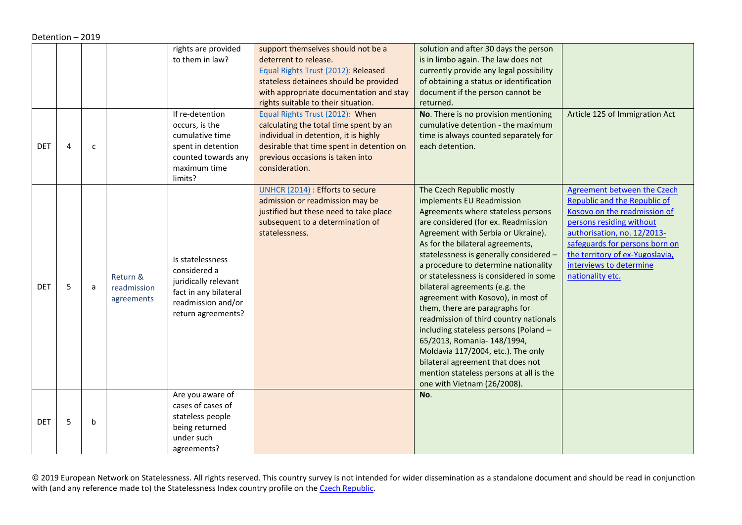<span id="page-29-1"></span><span id="page-29-0"></span>

|            | Detention - 2019 |              |                                       |                                                                                                                               |                                                                                                                                                                                                                                                                                                             |                                                                                                                                                                                                                                                                                                                                                                                                                                                                                                                                                                                                                                                                                                                             |                                                                                                                                                                                                                                                                                   |  |  |
|------------|------------------|--------------|---------------------------------------|-------------------------------------------------------------------------------------------------------------------------------|-------------------------------------------------------------------------------------------------------------------------------------------------------------------------------------------------------------------------------------------------------------------------------------------------------------|-----------------------------------------------------------------------------------------------------------------------------------------------------------------------------------------------------------------------------------------------------------------------------------------------------------------------------------------------------------------------------------------------------------------------------------------------------------------------------------------------------------------------------------------------------------------------------------------------------------------------------------------------------------------------------------------------------------------------------|-----------------------------------------------------------------------------------------------------------------------------------------------------------------------------------------------------------------------------------------------------------------------------------|--|--|
|            |                  |              |                                       | rights are provided<br>to them in law?<br>If re-detention<br>occurs, is the                                                   | support themselves should not be a<br>deterrent to release.<br>Equal Rights Trust (2012): Released<br>stateless detainees should be provided<br>with appropriate documentation and stay<br>rights suitable to their situation.<br>Equal Rights Trust (2012): When<br>calculating the total time spent by an | solution and after 30 days the person<br>is in limbo again. The law does not<br>currently provide any legal possibility<br>of obtaining a status or identification<br>document if the person cannot be<br>returned.<br>No. There is no provision mentioning<br>cumulative detention - the maximum                                                                                                                                                                                                                                                                                                                                                                                                                           | Article 125 of Immigration Act                                                                                                                                                                                                                                                    |  |  |
| <b>DET</b> | $\overline{4}$   | $\mathsf{C}$ |                                       | cumulative time<br>spent in detention<br>counted towards any<br>maximum time<br>limits?                                       | individual in detention, it is highly<br>desirable that time spent in detention on<br>previous occasions is taken into<br>consideration.                                                                                                                                                                    | time is always counted separately for<br>each detention.                                                                                                                                                                                                                                                                                                                                                                                                                                                                                                                                                                                                                                                                    |                                                                                                                                                                                                                                                                                   |  |  |
| <b>DET</b> | 5                | a            | Return &<br>readmission<br>agreements | Is statelessness<br>considered a<br>juridically relevant<br>fact in any bilateral<br>readmission and/or<br>return agreements? | UNHCR (2014) : Efforts to secure<br>admission or readmission may be<br>justified but these need to take place<br>subsequent to a determination of<br>statelessness.                                                                                                                                         | The Czech Republic mostly<br>implements EU Readmission<br>Agreements where stateless persons<br>are considered (for ex. Readmission<br>Agreement with Serbia or Ukraine).<br>As for the bilateral agreements,<br>statelessness is generally considered -<br>a procedure to determine nationality<br>or statelessness is considered in some<br>bilateral agreements (e.g. the<br>agreement with Kosovo), in most of<br>them, there are paragraphs for<br>readmission of third country nationals<br>including stateless persons (Poland -<br>65/2013, Romania- 148/1994,<br>Moldavia 117/2004, etc.). The only<br>bilateral agreement that does not<br>mention stateless persons at all is the<br>one with Vietnam (26/2008). | <b>Agreement between the Czech</b><br>Republic and the Republic of<br>Kosovo on the readmission of<br>persons residing without<br>authorisation, no. 12/2013-<br>safeguards for persons born on<br>the territory of ex-Yugoslavia,<br>interviews to determine<br>nationality etc. |  |  |
| <b>DET</b> | 5                | b            |                                       | Are you aware of<br>cases of cases of<br>stateless people<br>being returned<br>under such<br>agreements?                      |                                                                                                                                                                                                                                                                                                             | No.                                                                                                                                                                                                                                                                                                                                                                                                                                                                                                                                                                                                                                                                                                                         |                                                                                                                                                                                                                                                                                   |  |  |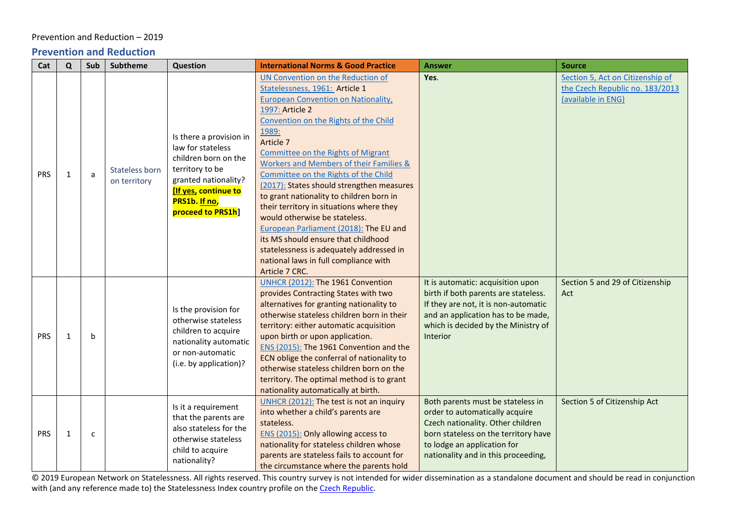### Prevention and Reduction – 2019

### **Prevention and Reduction**

<span id="page-30-0"></span>

| Cat        | $\mathbf Q$  | Sub | <b>Subtheme</b>                | Question                                                                                                                                                                            | <b>International Norms &amp; Good Practice</b>                                                                                                                                                                                                                                                                                                                                                                                                                                                                                                                                                                                                                                                                | <b>Answer</b>                                                                                                                                                                                                          | <b>Source</b>                                                                             |
|------------|--------------|-----|--------------------------------|-------------------------------------------------------------------------------------------------------------------------------------------------------------------------------------|---------------------------------------------------------------------------------------------------------------------------------------------------------------------------------------------------------------------------------------------------------------------------------------------------------------------------------------------------------------------------------------------------------------------------------------------------------------------------------------------------------------------------------------------------------------------------------------------------------------------------------------------------------------------------------------------------------------|------------------------------------------------------------------------------------------------------------------------------------------------------------------------------------------------------------------------|-------------------------------------------------------------------------------------------|
| <b>PRS</b> | $\mathbf{1}$ | a   | Stateless born<br>on territory | Is there a provision in<br>law for stateless<br>children born on the<br>territory to be<br>granted nationality?<br><b>If yes, continue to</b><br>PRS1b. If no,<br>proceed to PRS1h] | UN Convention on the Reduction of<br>Statelessness, 1961: Article 1<br><b>European Convention on Nationality</b> ,<br>1997: Article 2<br>Convention on the Rights of the Child<br>1989:<br>Article 7<br><b>Committee on the Rights of Migrant</b><br><b>Workers and Members of their Families &amp;</b><br>Committee on the Rights of the Child<br>(2017): States should strengthen measures<br>to grant nationality to children born in<br>their territory in situations where they<br>would otherwise be stateless.<br>European Parliament (2018): The EU and<br>its MS should ensure that childhood<br>statelessness is adequately addressed in<br>national laws in full compliance with<br>Article 7 CRC. | Yes.                                                                                                                                                                                                                   | Section 5, Act on Citizenship of<br>the Czech Republic no. 183/2013<br>(available in ENG) |
| <b>PRS</b> | $\mathbf{1}$ | b   |                                | Is the provision for<br>otherwise stateless<br>children to acquire<br>nationality automatic<br>or non-automatic<br>(i.e. by application)?                                           | UNHCR (2012): The 1961 Convention<br>provides Contracting States with two<br>alternatives for granting nationality to<br>otherwise stateless children born in their<br>territory: either automatic acquisition<br>upon birth or upon application.<br>ENS (2015): The 1961 Convention and the<br>ECN oblige the conferral of nationality to<br>otherwise stateless children born on the<br>territory. The optimal method is to grant<br>nationality automatically at birth.                                                                                                                                                                                                                                    | It is automatic: acquisition upon<br>birth if both parents are stateless.<br>If they are not, it is non-automatic<br>and an application has to be made,<br>which is decided by the Ministry of<br>Interior             | Section 5 and 29 of Citizenship<br>Act                                                    |
| <b>PRS</b> | $\mathbf{1}$ | c   |                                | Is it a requirement<br>that the parents are<br>also stateless for the<br>otherwise stateless<br>child to acquire<br>nationality?                                                    | UNHCR (2012): The test is not an inquiry<br>into whether a child's parents are<br>stateless.<br>ENS (2015): Only allowing access to<br>nationality for stateless children whose<br>parents are stateless fails to account for<br>the circumstance where the parents hold                                                                                                                                                                                                                                                                                                                                                                                                                                      | Both parents must be stateless in<br>order to automatically acquire<br>Czech nationality. Other children<br>born stateless on the territory have<br>to lodge an application for<br>nationality and in this proceeding, | Section 5 of Citizenship Act                                                              |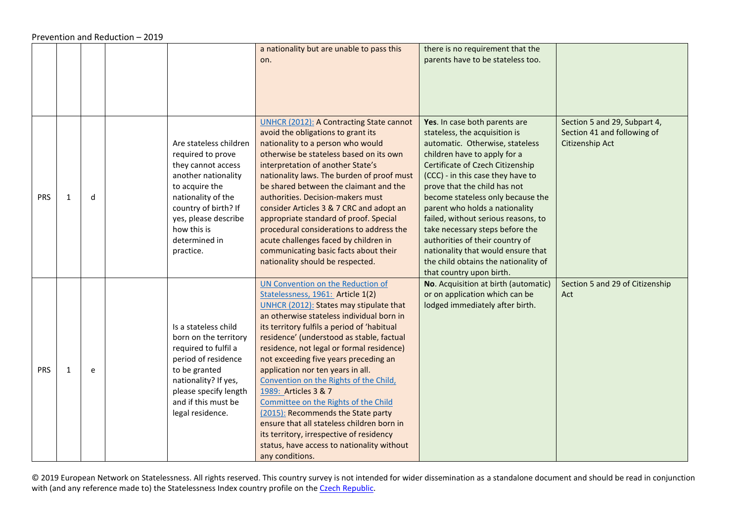|            |              |   |                                                                                                                                                                                                                               | a nationality but are unable to pass this                                                                                                                                                                                                                                                                                                                                                                                                                                                                                                                                                                                                                                                        | there is no requirement that the                                                                                                                                                                                                                                                                                                                                                                                                                                                                                                         |                                                                                |
|------------|--------------|---|-------------------------------------------------------------------------------------------------------------------------------------------------------------------------------------------------------------------------------|--------------------------------------------------------------------------------------------------------------------------------------------------------------------------------------------------------------------------------------------------------------------------------------------------------------------------------------------------------------------------------------------------------------------------------------------------------------------------------------------------------------------------------------------------------------------------------------------------------------------------------------------------------------------------------------------------|------------------------------------------------------------------------------------------------------------------------------------------------------------------------------------------------------------------------------------------------------------------------------------------------------------------------------------------------------------------------------------------------------------------------------------------------------------------------------------------------------------------------------------------|--------------------------------------------------------------------------------|
|            |              |   |                                                                                                                                                                                                                               | on.                                                                                                                                                                                                                                                                                                                                                                                                                                                                                                                                                                                                                                                                                              | parents have to be stateless too.                                                                                                                                                                                                                                                                                                                                                                                                                                                                                                        |                                                                                |
|            |              |   |                                                                                                                                                                                                                               |                                                                                                                                                                                                                                                                                                                                                                                                                                                                                                                                                                                                                                                                                                  |                                                                                                                                                                                                                                                                                                                                                                                                                                                                                                                                          |                                                                                |
|            |              |   |                                                                                                                                                                                                                               |                                                                                                                                                                                                                                                                                                                                                                                                                                                                                                                                                                                                                                                                                                  |                                                                                                                                                                                                                                                                                                                                                                                                                                                                                                                                          |                                                                                |
|            |              |   |                                                                                                                                                                                                                               |                                                                                                                                                                                                                                                                                                                                                                                                                                                                                                                                                                                                                                                                                                  |                                                                                                                                                                                                                                                                                                                                                                                                                                                                                                                                          |                                                                                |
| <b>PRS</b> | $\mathbf{1}$ | d | Are stateless children<br>required to prove<br>they cannot access<br>another nationality<br>to acquire the<br>nationality of the<br>country of birth? If<br>yes, please describe<br>how this is<br>determined in<br>practice. | <b>UNHCR (2012): A Contracting State cannot</b><br>avoid the obligations to grant its<br>nationality to a person who would<br>otherwise be stateless based on its own<br>interpretation of another State's<br>nationality laws. The burden of proof must<br>be shared between the claimant and the<br>authorities. Decision-makers must<br>consider Articles 3 & 7 CRC and adopt an<br>appropriate standard of proof. Special<br>procedural considerations to address the<br>acute challenges faced by children in<br>communicating basic facts about their<br>nationality should be respected.                                                                                                  | Yes. In case both parents are<br>stateless, the acquisition is<br>automatic. Otherwise, stateless<br>children have to apply for a<br>Certificate of Czech Citizenship<br>(CCC) - in this case they have to<br>prove that the child has not<br>become stateless only because the<br>parent who holds a nationality<br>failed, without serious reasons, to<br>take necessary steps before the<br>authorities of their country of<br>nationality that would ensure that<br>the child obtains the nationality of<br>that country upon birth. | Section 5 and 29, Subpart 4,<br>Section 41 and following of<br>Citizenship Act |
| <b>PRS</b> | $\mathbf{1}$ | e | Is a stateless child<br>born on the territory<br>required to fulfil a<br>period of residence<br>to be granted<br>nationality? If yes,<br>please specify length<br>and if this must be<br>legal residence.                     | UN Convention on the Reduction of<br>Statelessness, 1961: Article 1(2)<br>UNHCR (2012): States may stipulate that<br>an otherwise stateless individual born in<br>its territory fulfils a period of 'habitual<br>residence' (understood as stable, factual<br>residence, not legal or formal residence)<br>not exceeding five years preceding an<br>application nor ten years in all.<br>Convention on the Rights of the Child,<br>1989: Articles 3 & 7<br>Committee on the Rights of the Child<br>(2015): Recommends the State party<br>ensure that all stateless children born in<br>its territory, irrespective of residency<br>status, have access to nationality without<br>any conditions. | No. Acquisition at birth (automatic)<br>or on application which can be<br>lodged immediately after birth.                                                                                                                                                                                                                                                                                                                                                                                                                                | Section 5 and 29 of Citizenship<br>Act                                         |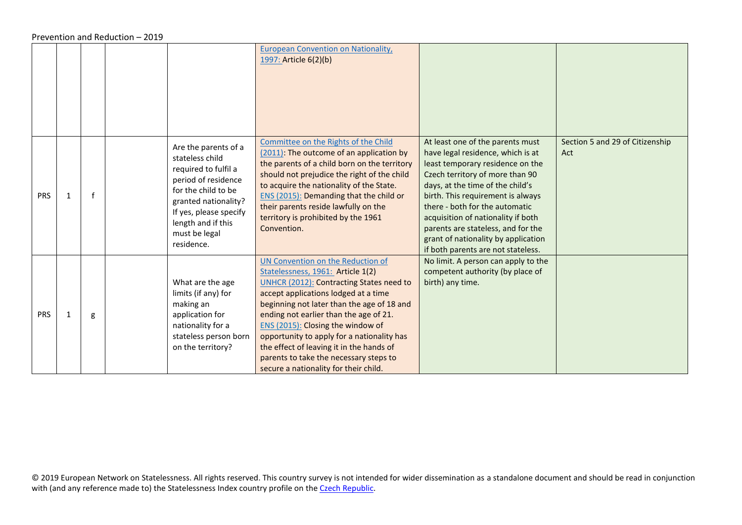|            |   |   |                                                                                                                                                                                                                      | <b>European Convention on Nationality,</b><br>1997: Article 6(2)(b)                                                                                                                                                                                                                                                                                                                                                                                                         |                                                                                                                                                                                                                                                                                                                                                                                                                  |                                        |
|------------|---|---|----------------------------------------------------------------------------------------------------------------------------------------------------------------------------------------------------------------------|-----------------------------------------------------------------------------------------------------------------------------------------------------------------------------------------------------------------------------------------------------------------------------------------------------------------------------------------------------------------------------------------------------------------------------------------------------------------------------|------------------------------------------------------------------------------------------------------------------------------------------------------------------------------------------------------------------------------------------------------------------------------------------------------------------------------------------------------------------------------------------------------------------|----------------------------------------|
| <b>PRS</b> | 1 |   | Are the parents of a<br>stateless child<br>required to fulfil a<br>period of residence<br>for the child to be<br>granted nationality?<br>If yes, please specify<br>length and if this<br>must be legal<br>residence. | Committee on the Rights of the Child<br>(2011): The outcome of an application by<br>the parents of a child born on the territory<br>should not prejudice the right of the child<br>to acquire the nationality of the State.<br><b>ENS (2015): Demanding that the child or</b><br>their parents reside lawfully on the<br>territory is prohibited by the 1961<br>Convention.                                                                                                 | At least one of the parents must<br>have legal residence, which is at<br>least temporary residence on the<br>Czech territory of more than 90<br>days, at the time of the child's<br>birth. This requirement is always<br>there - both for the automatic<br>acquisition of nationality if both<br>parents are stateless, and for the<br>grant of nationality by application<br>if both parents are not stateless. | Section 5 and 29 of Citizenship<br>Act |
| <b>PRS</b> | 1 | g | What are the age<br>limits (if any) for<br>making an<br>application for<br>nationality for a<br>stateless person born<br>on the territory?                                                                           | UN Convention on the Reduction of<br>Statelessness, 1961: Article 1(2)<br><b>UNHCR (2012): Contracting States need to</b><br>accept applications lodged at a time<br>beginning not later than the age of 18 and<br>ending not earlier than the age of 21.<br>ENS (2015): Closing the window of<br>opportunity to apply for a nationality has<br>the effect of leaving it in the hands of<br>parents to take the necessary steps to<br>secure a nationality for their child. | No limit. A person can apply to the<br>competent authority (by place of<br>birth) any time.                                                                                                                                                                                                                                                                                                                      |                                        |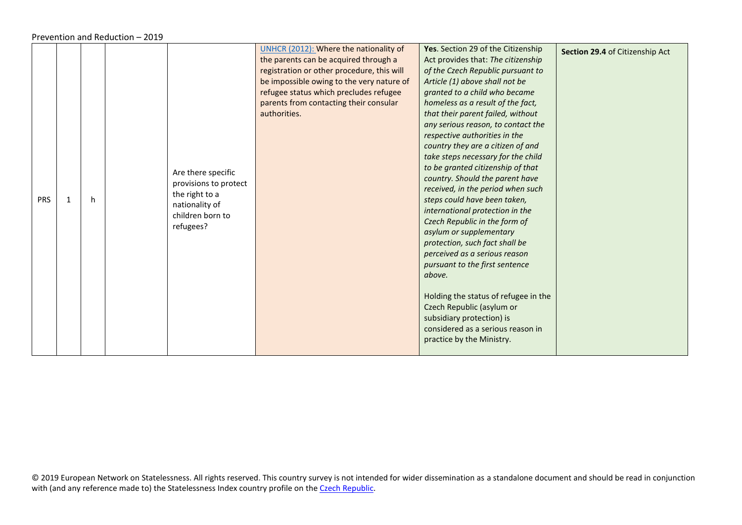|            |   |    |                                                                                                                  | UNHCR (2012): Where the nationality of<br>the parents can be acquired through a<br>registration or other procedure, this will<br>be impossible owing to the very nature of<br>refugee status which precludes refugee<br>parents from contacting their consular<br>authorities. | Yes. Section 29 of the Citizenship<br>Act provides that: The citizenship<br>of the Czech Republic pursuant to<br>Article (1) above shall not be<br>granted to a child who became<br>homeless as a result of the fact,<br>that their parent failed, without<br>any serious reason, to contact the<br>respective authorities in the<br>country they are a citizen of and                                                                                                                                                                                            | Section 29.4 of Citizenship Act |
|------------|---|----|------------------------------------------------------------------------------------------------------------------|--------------------------------------------------------------------------------------------------------------------------------------------------------------------------------------------------------------------------------------------------------------------------------|-------------------------------------------------------------------------------------------------------------------------------------------------------------------------------------------------------------------------------------------------------------------------------------------------------------------------------------------------------------------------------------------------------------------------------------------------------------------------------------------------------------------------------------------------------------------|---------------------------------|
| <b>PRS</b> | 1 | h. | Are there specific<br>provisions to protect<br>the right to a<br>nationality of<br>children born to<br>refugees? |                                                                                                                                                                                                                                                                                | take steps necessary for the child<br>to be granted citizenship of that<br>country. Should the parent have<br>received, in the period when such<br>steps could have been taken,<br>international protection in the<br>Czech Republic in the form of<br>asylum or supplementary<br>protection, such fact shall be<br>perceived as a serious reason<br>pursuant to the first sentence<br>above.<br>Holding the status of refugee in the<br>Czech Republic (asylum or<br>subsidiary protection) is<br>considered as a serious reason in<br>practice by the Ministry. |                                 |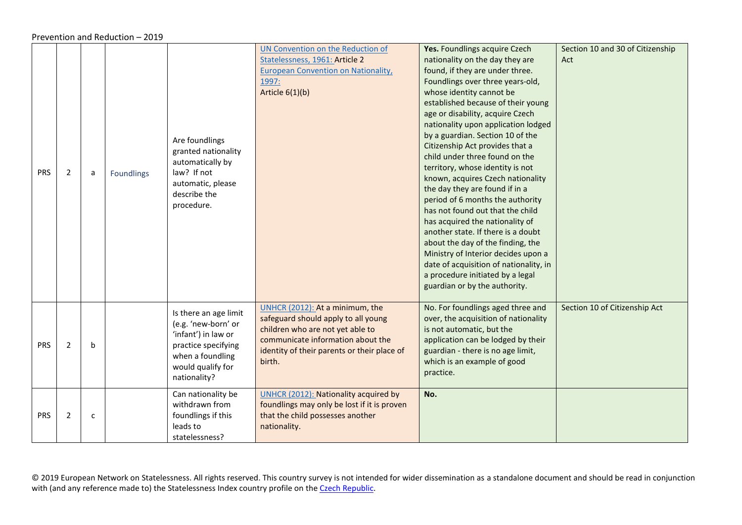<span id="page-34-0"></span>

| <b>PRS</b> | $\overline{2}$ | a | Foundlings | Are foundlings<br>granted nationality<br>automatically by<br>law? If not<br>automatic, please<br>describe the<br>procedure.                         | UN Convention on the Reduction of<br>Statelessness, 1961: Article 2<br><b>European Convention on Nationality,</b><br>1997:<br>Article $6(1)(b)$                                                          | Yes. Foundlings acquire Czech<br>nationality on the day they are<br>found, if they are under three.<br>Foundlings over three years-old,<br>whose identity cannot be<br>established because of their young<br>age or disability, acquire Czech<br>nationality upon application lodged<br>by a guardian. Section 10 of the<br>Citizenship Act provides that a<br>child under three found on the<br>territory, whose identity is not<br>known, acquires Czech nationality<br>the day they are found if in a<br>period of 6 months the authority<br>has not found out that the child<br>has acquired the nationality of<br>another state. If there is a doubt<br>about the day of the finding, the<br>Ministry of Interior decides upon a<br>date of acquisition of nationality, in<br>a procedure initiated by a legal<br>guardian or by the authority. | Section 10 and 30 of Citizenship<br>Act |
|------------|----------------|---|------------|-----------------------------------------------------------------------------------------------------------------------------------------------------|----------------------------------------------------------------------------------------------------------------------------------------------------------------------------------------------------------|------------------------------------------------------------------------------------------------------------------------------------------------------------------------------------------------------------------------------------------------------------------------------------------------------------------------------------------------------------------------------------------------------------------------------------------------------------------------------------------------------------------------------------------------------------------------------------------------------------------------------------------------------------------------------------------------------------------------------------------------------------------------------------------------------------------------------------------------------|-----------------------------------------|
| <b>PRS</b> | $\overline{2}$ | b |            | Is there an age limit<br>(e.g. 'new-born' or<br>'infant') in law or<br>practice specifying<br>when a foundling<br>would qualify for<br>nationality? | UNHCR (2012): At a minimum, the<br>safeguard should apply to all young<br>children who are not yet able to<br>communicate information about the<br>identity of their parents or their place of<br>birth. | No. For foundlings aged three and<br>over, the acquisition of nationality<br>is not automatic, but the<br>application can be lodged by their<br>guardian - there is no age limit,<br>which is an example of good<br>practice.                                                                                                                                                                                                                                                                                                                                                                                                                                                                                                                                                                                                                        | Section 10 of Citizenship Act           |
| <b>PRS</b> | $\overline{2}$ | c |            | Can nationality be<br>withdrawn from<br>foundlings if this<br>leads to<br>statelessness?                                                            | UNHCR (2012): Nationality acquired by<br>foundlings may only be lost if it is proven<br>that the child possesses another<br>nationality.                                                                 | No.                                                                                                                                                                                                                                                                                                                                                                                                                                                                                                                                                                                                                                                                                                                                                                                                                                                  |                                         |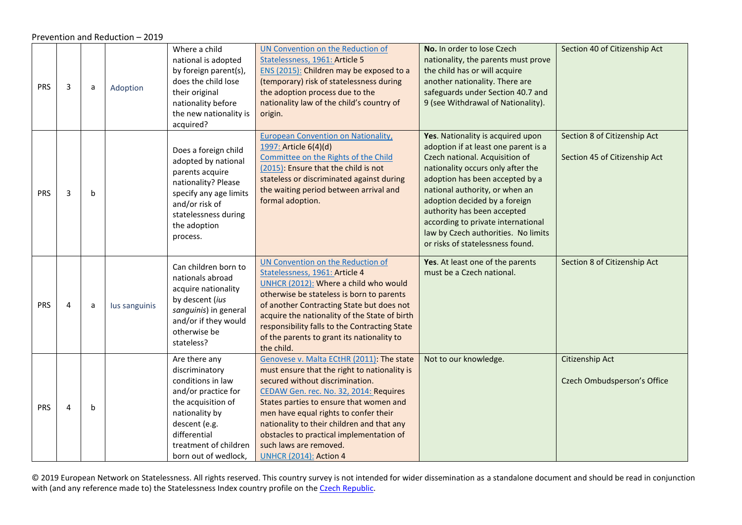Prevention and Reduction – 2019

<span id="page-35-1"></span><span id="page-35-0"></span>

| <b>PRS</b> | 3 | a | Adoption      | Where a child<br>national is adopted<br>by foreign parent(s),<br>does the child lose<br>their original<br>nationality before<br>the new nationality is<br>acquired?                                   | UN Convention on the Reduction of<br>Statelessness, 1961: Article 5<br>ENS (2015): Children may be exposed to a<br>(temporary) risk of statelessness during<br>the adoption process due to the<br>nationality law of the child's country of<br>origin.                                                                                                                                                          | No. In order to lose Czech<br>nationality, the parents must prove<br>the child has or will acquire<br>another nationality. There are<br>safeguards under Section 40.7 and<br>9 (see Withdrawal of Nationality).                                                                                                                                                                                        | Section 40 of Citizenship Act                                 |
|------------|---|---|---------------|-------------------------------------------------------------------------------------------------------------------------------------------------------------------------------------------------------|-----------------------------------------------------------------------------------------------------------------------------------------------------------------------------------------------------------------------------------------------------------------------------------------------------------------------------------------------------------------------------------------------------------------|--------------------------------------------------------------------------------------------------------------------------------------------------------------------------------------------------------------------------------------------------------------------------------------------------------------------------------------------------------------------------------------------------------|---------------------------------------------------------------|
| <b>PRS</b> | 3 | b |               | Does a foreign child<br>adopted by national<br>parents acquire<br>nationality? Please<br>specify any age limits<br>and/or risk of<br>statelessness during<br>the adoption<br>process.                 | <b>European Convention on Nationality,</b><br>1997: Article 6(4)(d)<br>Committee on the Rights of the Child<br>(2015): Ensure that the child is not<br>stateless or discriminated against during<br>the waiting period between arrival and<br>formal adoption.                                                                                                                                                  | Yes. Nationality is acquired upon<br>adoption if at least one parent is a<br>Czech national. Acquisition of<br>nationality occurs only after the<br>adoption has been accepted by a<br>national authority, or when an<br>adoption decided by a foreign<br>authority has been accepted<br>according to private international<br>law by Czech authorities. No limits<br>or risks of statelessness found. | Section 8 of Citizenship Act<br>Section 45 of Citizenship Act |
| <b>PRS</b> | 4 | a | lus sanguinis | Can children born to<br>nationals abroad<br>acquire nationality<br>by descent (ius<br>sanguinis) in general<br>and/or if they would<br>otherwise be<br>stateless?                                     | UN Convention on the Reduction of<br>Statelessness, 1961: Article 4<br>UNHCR (2012): Where a child who would<br>otherwise be stateless is born to parents<br>of another Contracting State but does not<br>acquire the nationality of the State of birth<br>responsibility falls to the Contracting State<br>of the parents to grant its nationality to<br>the child.                                            | Yes. At least one of the parents<br>must be a Czech national.                                                                                                                                                                                                                                                                                                                                          | Section 8 of Citizenship Act                                  |
| PRS        | 4 | b |               | Are there any<br>discriminatory<br>conditions in law<br>and/or practice for<br>the acquisition of<br>nationality by<br>descent (e.g.<br>differential<br>treatment of children<br>born out of wedlock, | Genovese v. Malta ECtHR (2011): The state<br>must ensure that the right to nationality is<br>secured without discrimination.<br>CEDAW Gen. rec. No. 32, 2014: Requires<br>States parties to ensure that women and<br>men have equal rights to confer their<br>nationality to their children and that any<br>obstacles to practical implementation of<br>such laws are removed.<br><b>UNHCR (2014): Action 4</b> | Not to our knowledge.                                                                                                                                                                                                                                                                                                                                                                                  | Citizenship Act<br>Czech Ombudsperson's Office                |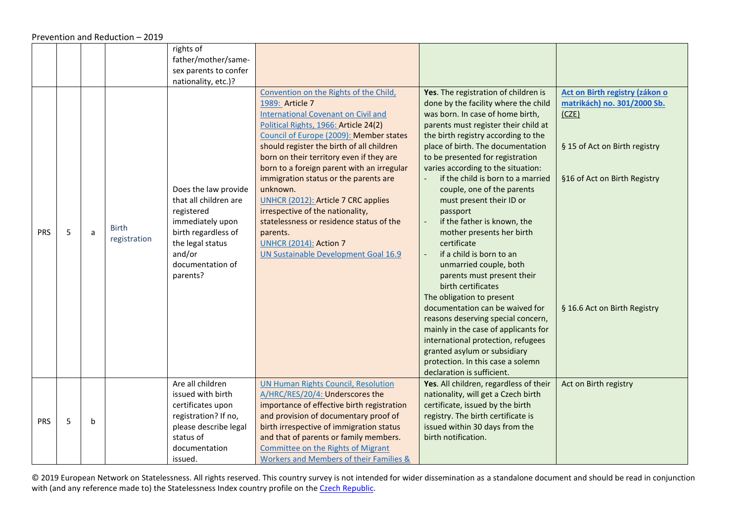#### Prevention and Reduction – 2019

<span id="page-36-0"></span>

|            |   |   |                              | rights of<br>father/mother/same-<br>sex parents to confer                                                                                                            |                                                                                                                                                                                                                                                                                                                                                                                                                                                                                                                                                                                                            |                                                                                                                                                                                                                                                                                                                                                                                                                                                                                                                                                                                                                                                                                                                                                                                                                                                                                                       |                                                                                                                                                                         |
|------------|---|---|------------------------------|----------------------------------------------------------------------------------------------------------------------------------------------------------------------|------------------------------------------------------------------------------------------------------------------------------------------------------------------------------------------------------------------------------------------------------------------------------------------------------------------------------------------------------------------------------------------------------------------------------------------------------------------------------------------------------------------------------------------------------------------------------------------------------------|-------------------------------------------------------------------------------------------------------------------------------------------------------------------------------------------------------------------------------------------------------------------------------------------------------------------------------------------------------------------------------------------------------------------------------------------------------------------------------------------------------------------------------------------------------------------------------------------------------------------------------------------------------------------------------------------------------------------------------------------------------------------------------------------------------------------------------------------------------------------------------------------------------|-------------------------------------------------------------------------------------------------------------------------------------------------------------------------|
|            |   |   |                              | nationality, etc.)?                                                                                                                                                  |                                                                                                                                                                                                                                                                                                                                                                                                                                                                                                                                                                                                            |                                                                                                                                                                                                                                                                                                                                                                                                                                                                                                                                                                                                                                                                                                                                                                                                                                                                                                       |                                                                                                                                                                         |
| <b>PRS</b> | 5 | a | <b>Birth</b><br>registration | Does the law provide<br>that all children are<br>registered<br>immediately upon<br>birth regardless of<br>the legal status<br>and/or<br>documentation of<br>parents? | Convention on the Rights of the Child,<br>1989: Article 7<br><b>International Covenant on Civil and</b><br>Political Rights, 1966: Article 24(2)<br>Council of Europe (2009): Member states<br>should register the birth of all children<br>born on their territory even if they are<br>born to a foreign parent with an irregular<br>immigration status or the parents are<br>unknown.<br><b>UNHCR (2012): Article 7 CRC applies</b><br>irrespective of the nationality,<br>statelessness or residence status of the<br>parents.<br><b>UNHCR (2014): Action 7</b><br>UN Sustainable Development Goal 16.9 | Yes. The registration of children is<br>done by the facility where the child<br>was born. In case of home birth,<br>parents must register their child at<br>the birth registry according to the<br>place of birth. The documentation<br>to be presented for registration<br>varies according to the situation:<br>if the child is born to a married<br>couple, one of the parents<br>must present their ID or<br>passport<br>if the father is known, the<br>mother presents her birth<br>certificate<br>if a child is born to an<br>unmarried couple, both<br>parents must present their<br>birth certificates<br>The obligation to present<br>documentation can be waived for<br>reasons deserving special concern,<br>mainly in the case of applicants for<br>international protection, refugees<br>granted asylum or subsidiary<br>protection. In this case a solemn<br>declaration is sufficient. | Act on Birth registry (zákon o<br>matrikách) no. 301/2000 Sb.<br>(CZE)<br>§ 15 of Act on Birth registry<br>§16 of Act on Birth Registry<br>§ 16.6 Act on Birth Registry |
| PRS        | 5 | b |                              | Are all children<br>issued with birth<br>certificates upon<br>registration? If no,<br>please describe legal<br>status of<br>documentation<br>issued.                 | <b>UN Human Rights Council, Resolution</b><br>A/HRC/RES/20/4: Underscores the<br>importance of effective birth registration<br>and provision of documentary proof of<br>birth irrespective of immigration status<br>and that of parents or family members.<br>Committee on the Rights of Migrant<br>Workers and Members of their Families &                                                                                                                                                                                                                                                                | Yes. All children, regardless of their<br>nationality, will get a Czech birth<br>certificate, issued by the birth<br>registry. The birth certificate is<br>issued within 30 days from the<br>birth notification.                                                                                                                                                                                                                                                                                                                                                                                                                                                                                                                                                                                                                                                                                      | Act on Birth registry                                                                                                                                                   |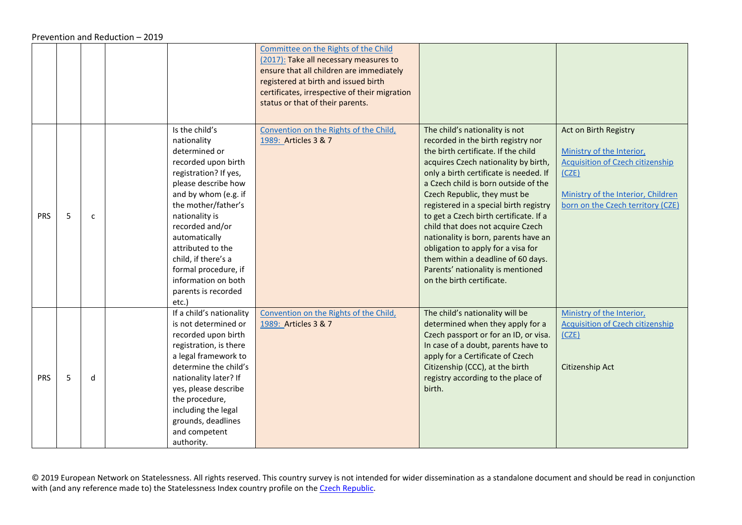|            |   |              |                                                                                                                                                                                                                                                                                                                                                       | Committee on the Rights of the Child<br>(2017): Take all necessary measures to<br>ensure that all children are immediately<br>registered at birth and issued birth<br>certificates, irrespective of their migration<br>status or that of their parents. |                                                                                                                                                                                                                                                                                                                                                                                                                                                                                                                                                                                      |                                                                                                                                                                                   |
|------------|---|--------------|-------------------------------------------------------------------------------------------------------------------------------------------------------------------------------------------------------------------------------------------------------------------------------------------------------------------------------------------------------|---------------------------------------------------------------------------------------------------------------------------------------------------------------------------------------------------------------------------------------------------------|--------------------------------------------------------------------------------------------------------------------------------------------------------------------------------------------------------------------------------------------------------------------------------------------------------------------------------------------------------------------------------------------------------------------------------------------------------------------------------------------------------------------------------------------------------------------------------------|-----------------------------------------------------------------------------------------------------------------------------------------------------------------------------------|
| <b>PRS</b> | 5 | $\mathsf{C}$ | Is the child's<br>nationality<br>determined or<br>recorded upon birth<br>registration? If yes,<br>please describe how<br>and by whom (e.g. if<br>the mother/father's<br>nationality is<br>recorded and/or<br>automatically<br>attributed to the<br>child, if there's a<br>formal procedure, if<br>information on both<br>parents is recorded<br>etc.) | Convention on the Rights of the Child,<br>1989: Articles 3 & 7                                                                                                                                                                                          | The child's nationality is not<br>recorded in the birth registry nor<br>the birth certificate. If the child<br>acquires Czech nationality by birth,<br>only a birth certificate is needed. If<br>a Czech child is born outside of the<br>Czech Republic, they must be<br>registered in a special birth registry<br>to get a Czech birth certificate. If a<br>child that does not acquire Czech<br>nationality is born, parents have an<br>obligation to apply for a visa for<br>them within a deadline of 60 days.<br>Parents' nationality is mentioned<br>on the birth certificate. | Act on Birth Registry<br>Ministry of the Interior,<br><b>Acquisition of Czech citizenship</b><br>(CZE)<br>Ministry of the Interior, Children<br>born on the Czech territory (CZE) |
| <b>PRS</b> | 5 | d            | If a child's nationality<br>is not determined or<br>recorded upon birth<br>registration, is there<br>a legal framework to<br>determine the child's<br>nationality later? If<br>yes, please describe<br>the procedure,<br>including the legal<br>grounds, deadlines<br>and competent<br>authority.                                                     | Convention on the Rights of the Child,<br>1989: Articles 3 & 7                                                                                                                                                                                          | The child's nationality will be<br>determined when they apply for a<br>Czech passport or for an ID, or visa.<br>In case of a doubt, parents have to<br>apply for a Certificate of Czech<br>Citizenship (CCC), at the birth<br>registry according to the place of<br>birth.                                                                                                                                                                                                                                                                                                           | Ministry of the Interior,<br><b>Acquisition of Czech citizenship</b><br>(CZE)<br>Citizenship Act                                                                                  |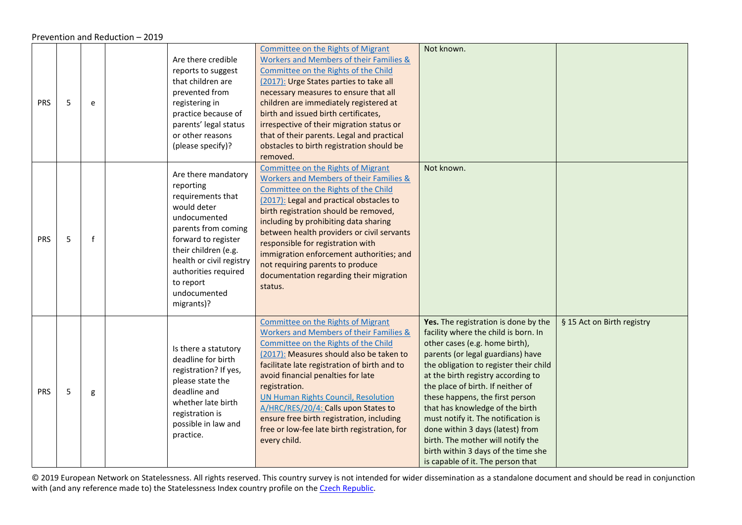#### Prevention and Reduction – 2019

| <b>PRS</b> | 5 | e            | Are there credible<br>reports to suggest<br>that children are<br>prevented from<br>registering in<br>practice because of<br>parents' legal status<br>or other reasons<br>(please specify)?                                                                | Committee on the Rights of Migrant<br>Workers and Members of their Families &<br>Committee on the Rights of the Child<br>(2017): Urge States parties to take all<br>necessary measures to ensure that all<br>children are immediately registered at<br>birth and issued birth certificates,<br>irrespective of their migration status or<br>that of their parents. Legal and practical<br>obstacles to birth registration should be<br>removed.                                    | Not known.                                                                                                                                                                                                                                                                                                                                                                                                                                                                                                                                 |                            |
|------------|---|--------------|-----------------------------------------------------------------------------------------------------------------------------------------------------------------------------------------------------------------------------------------------------------|------------------------------------------------------------------------------------------------------------------------------------------------------------------------------------------------------------------------------------------------------------------------------------------------------------------------------------------------------------------------------------------------------------------------------------------------------------------------------------|--------------------------------------------------------------------------------------------------------------------------------------------------------------------------------------------------------------------------------------------------------------------------------------------------------------------------------------------------------------------------------------------------------------------------------------------------------------------------------------------------------------------------------------------|----------------------------|
| <b>PRS</b> | 5 | $\mathbf{f}$ | Are there mandatory<br>reporting<br>requirements that<br>would deter<br>undocumented<br>parents from coming<br>forward to register<br>their children (e.g.<br>health or civil registry<br>authorities required<br>to report<br>undocumented<br>migrants)? | Committee on the Rights of Migrant<br>Workers and Members of their Families &<br>Committee on the Rights of the Child<br>(2017): Legal and practical obstacles to<br>birth registration should be removed,<br>including by prohibiting data sharing<br>between health providers or civil servants<br>responsible for registration with<br>immigration enforcement authorities; and<br>not requiring parents to produce<br>documentation regarding their migration<br>status.       | Not known.                                                                                                                                                                                                                                                                                                                                                                                                                                                                                                                                 |                            |
| <b>PRS</b> | 5 | g            | Is there a statutory<br>deadline for birth<br>registration? If yes,<br>please state the<br>deadline and<br>whether late birth<br>registration is<br>possible in law and<br>practice.                                                                      | <b>Committee on the Rights of Migrant</b><br>Workers and Members of their Families &<br>Committee on the Rights of the Child<br>(2017): Measures should also be taken to<br>facilitate late registration of birth and to<br>avoid financial penalties for late<br>registration.<br><b>UN Human Rights Council, Resolution</b><br>A/HRC/RES/20/4: Calls upon States to<br>ensure free birth registration, including<br>free or low-fee late birth registration, for<br>every child. | Yes. The registration is done by the<br>facility where the child is born. In<br>other cases (e.g. home birth),<br>parents (or legal guardians) have<br>the obligation to register their child<br>at the birth registry according to<br>the place of birth. If neither of<br>these happens, the first person<br>that has knowledge of the birth<br>must notify it. The notification is<br>done within 3 days (latest) from<br>birth. The mother will notify the<br>birth within 3 days of the time she<br>is capable of it. The person that | § 15 Act on Birth registry |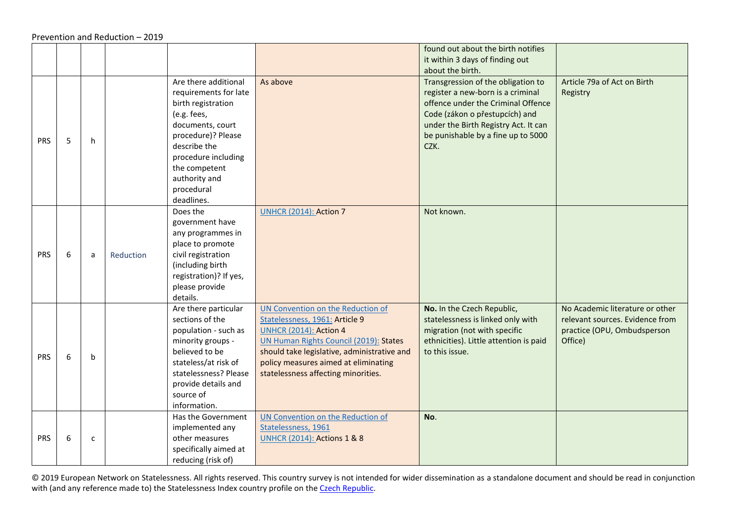<span id="page-39-0"></span>

|            |   |              |           |                                                                                                                                                                                                                                   |                                                                                                                                                                                                                                                                              | found out about the birth notifies<br>it within 3 days of finding out                                                                                                                                                                 |                                                                                                              |
|------------|---|--------------|-----------|-----------------------------------------------------------------------------------------------------------------------------------------------------------------------------------------------------------------------------------|------------------------------------------------------------------------------------------------------------------------------------------------------------------------------------------------------------------------------------------------------------------------------|---------------------------------------------------------------------------------------------------------------------------------------------------------------------------------------------------------------------------------------|--------------------------------------------------------------------------------------------------------------|
|            |   |              |           |                                                                                                                                                                                                                                   |                                                                                                                                                                                                                                                                              | about the birth.                                                                                                                                                                                                                      |                                                                                                              |
| PRS        | 5 | h            |           | Are there additional<br>requirements for late<br>birth registration<br>(e.g. fees,<br>documents, court<br>procedure)? Please<br>describe the<br>procedure including<br>the competent<br>authority and<br>procedural<br>deadlines. | As above                                                                                                                                                                                                                                                                     | Transgression of the obligation to<br>register a new-born is a criminal<br>offence under the Criminal Offence<br>Code (zákon o přestupcích) and<br>under the Birth Registry Act. It can<br>be punishable by a fine up to 5000<br>CZK. | Article 79a of Act on Birth<br>Registry                                                                      |
| <b>PRS</b> | 6 | a            | Reduction | Does the<br>government have<br>any programmes in<br>place to promote<br>civil registration<br>(including birth<br>registration)? If yes,<br>please provide<br>details.                                                            | <b>UNHCR (2014): Action 7</b>                                                                                                                                                                                                                                                | Not known.                                                                                                                                                                                                                            |                                                                                                              |
| <b>PRS</b> | 6 | b            |           | Are there particular<br>sections of the<br>population - such as<br>minority groups -<br>believed to be<br>stateless/at risk of<br>statelessness? Please<br>provide details and<br>source of<br>information.                       | UN Convention on the Reduction of<br>Statelessness, 1961: Article 9<br><b>UNHCR (2014): Action 4</b><br>UN Human Rights Council (2019): States<br>should take legislative, administrative and<br>policy measures aimed at eliminating<br>statelessness affecting minorities. | No. In the Czech Republic,<br>statelessness is linked only with<br>migration (not with specific<br>ethnicities). Little attention is paid<br>to this issue.                                                                           | No Academic literature or other<br>relevant sources. Evidence from<br>practice (OPU, Ombudsperson<br>Office) |
| <b>PRS</b> | 6 | $\mathsf{C}$ |           | Has the Government<br>implemented any<br>other measures<br>specifically aimed at<br>reducing (risk of)                                                                                                                            | UN Convention on the Reduction of<br>Statelessness, 1961<br><b>UNHCR (2014): Actions 1 &amp; 8</b>                                                                                                                                                                           | No.                                                                                                                                                                                                                                   |                                                                                                              |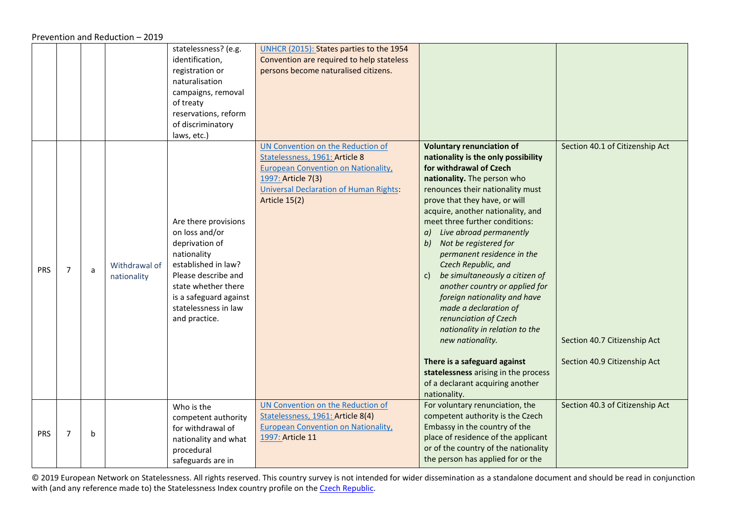Prevention and Reduction – 2019

<span id="page-40-0"></span>

|            |                |   |                              | statelessness? (e.g.<br>identification,<br>registration or<br>naturalisation<br>campaigns, removal<br>of treaty<br>reservations, reform<br>of discriminatory<br>laws, etc.)                                     | UNHCR (2015): States parties to the 1954<br>Convention are required to help stateless<br>persons become naturalised citizens.                                                                             |                                                                                                                                                                                                                                                                                                                                                                                                                                                                                                                                                                                                                                                                                                                                                  |                                                                                                 |
|------------|----------------|---|------------------------------|-----------------------------------------------------------------------------------------------------------------------------------------------------------------------------------------------------------------|-----------------------------------------------------------------------------------------------------------------------------------------------------------------------------------------------------------|--------------------------------------------------------------------------------------------------------------------------------------------------------------------------------------------------------------------------------------------------------------------------------------------------------------------------------------------------------------------------------------------------------------------------------------------------------------------------------------------------------------------------------------------------------------------------------------------------------------------------------------------------------------------------------------------------------------------------------------------------|-------------------------------------------------------------------------------------------------|
| <b>PRS</b> | $\overline{7}$ | a | Withdrawal of<br>nationality | Are there provisions<br>on loss and/or<br>deprivation of<br>nationality<br>established in law?<br>Please describe and<br>state whether there<br>is a safeguard against<br>statelessness in law<br>and practice. | UN Convention on the Reduction of<br>Statelessness, 1961: Article 8<br><b>European Convention on Nationality,</b><br>1997: Article 7(3)<br><b>Universal Declaration of Human Rights:</b><br>Article 15(2) | <b>Voluntary renunciation of</b><br>nationality is the only possibility<br>for withdrawal of Czech<br>nationality. The person who<br>renounces their nationality must<br>prove that they have, or will<br>acquire, another nationality, and<br>meet three further conditions:<br>Live abroad permanently<br>a)<br>Not be registered for<br>b)<br>permanent residence in the<br>Czech Republic, and<br>be simultaneously a citizen of<br>c)<br>another country or applied for<br>foreign nationality and have<br>made a declaration of<br>renunciation of Czech<br>nationality in relation to the<br>new nationality.<br>There is a safeguard against<br>statelessness arising in the process<br>of a declarant acquiring another<br>nationality. | Section 40.1 of Citizenship Act<br>Section 40.7 Citizenship Act<br>Section 40.9 Citizenship Act |
| <b>PRS</b> | $\overline{7}$ | b |                              | Who is the<br>competent authority<br>for withdrawal of<br>nationality and what<br>procedural<br>safeguards are in                                                                                               | UN Convention on the Reduction of<br>Statelessness, 1961: Article 8(4)<br><b>European Convention on Nationality,</b><br>1997: Article 11                                                                  | For voluntary renunciation, the<br>competent authority is the Czech<br>Embassy in the country of the<br>place of residence of the applicant<br>or of the country of the nationality<br>the person has applied for or the                                                                                                                                                                                                                                                                                                                                                                                                                                                                                                                         | Section 40.3 of Citizenship Act                                                                 |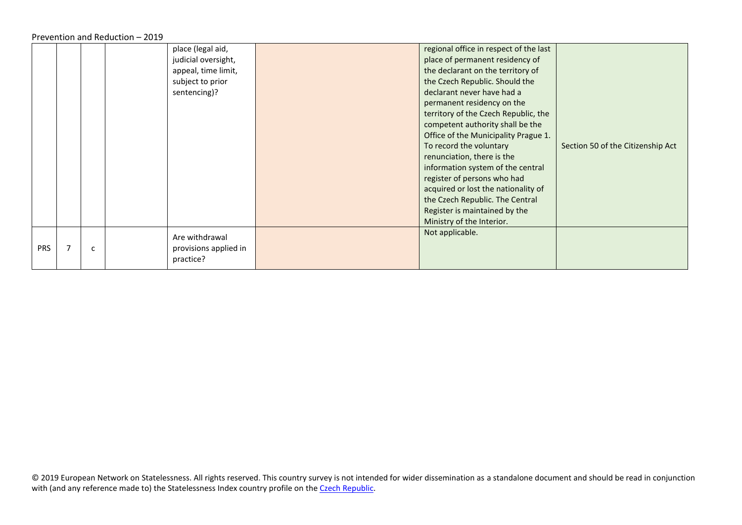Prevention and Reduction – 2019

|            |   | place (legal aid,     | regional office in respect of the last |                                   |
|------------|---|-----------------------|----------------------------------------|-----------------------------------|
|            |   | judicial oversight,   | place of permanent residency of        |                                   |
|            |   | appeal, time limit,   | the declarant on the territory of      |                                   |
|            |   | subject to prior      | the Czech Republic. Should the         |                                   |
|            |   | sentencing)?          | declarant never have had a             |                                   |
|            |   |                       | permanent residency on the             |                                   |
|            |   |                       | territory of the Czech Republic, the   |                                   |
|            |   |                       | competent authority shall be the       |                                   |
|            |   |                       | Office of the Municipality Prague 1.   |                                   |
|            |   |                       | To record the voluntary                | Section 50 of the Citizenship Act |
|            |   |                       | renunciation, there is the             |                                   |
|            |   |                       | information system of the central      |                                   |
|            |   |                       | register of persons who had            |                                   |
|            |   |                       | acquired or lost the nationality of    |                                   |
|            |   |                       | the Czech Republic. The Central        |                                   |
|            |   |                       | Register is maintained by the          |                                   |
|            |   |                       | Ministry of the Interior.              |                                   |
|            |   | Are withdrawal        | Not applicable.                        |                                   |
| <b>PRS</b> | c | provisions applied in |                                        |                                   |
|            |   | practice?             |                                        |                                   |
|            |   |                       |                                        |                                   |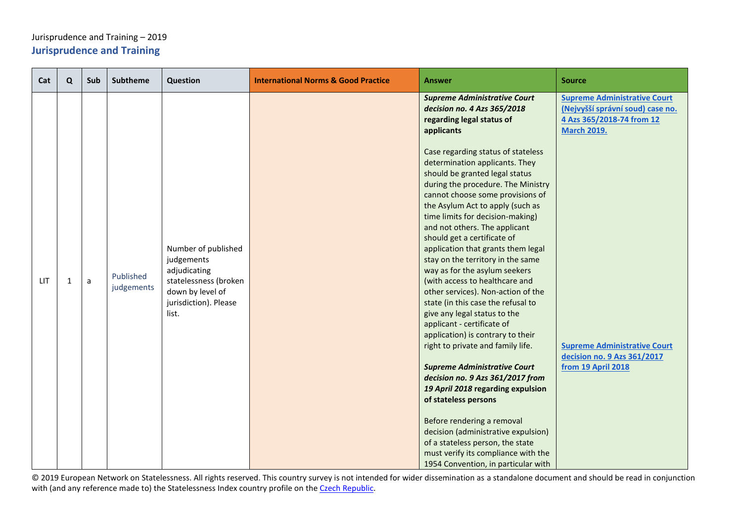## <span id="page-42-0"></span>Jurisprudence and Training – 2019 **Jurisprudence and Training**

<span id="page-42-1"></span>

| Cat | Q | Sub | <b>Subtheme</b>         | Question                                                                    | <b>International Norms &amp; Good Practice</b> | Answer                                                                                                                                                                                                                                                                                                                                                                                                                                                                                                                                                | <b>Source</b>                                                                                                              |
|-----|---|-----|-------------------------|-----------------------------------------------------------------------------|------------------------------------------------|-------------------------------------------------------------------------------------------------------------------------------------------------------------------------------------------------------------------------------------------------------------------------------------------------------------------------------------------------------------------------------------------------------------------------------------------------------------------------------------------------------------------------------------------------------|----------------------------------------------------------------------------------------------------------------------------|
|     |   |     |                         | Number of published<br>judgements<br>adjudicating                           |                                                | <b>Supreme Administrative Court</b><br>decision no. 4 Azs 365/2018<br>regarding legal status of<br>applicants<br>Case regarding status of stateless<br>determination applicants. They<br>should be granted legal status<br>during the procedure. The Ministry<br>cannot choose some provisions of<br>the Asylum Act to apply (such as<br>time limits for decision-making)<br>and not others. The applicant<br>should get a certificate of<br>application that grants them legal<br>stay on the territory in the same<br>way as for the asylum seekers | <b>Supreme Administrative Court</b><br>(Nejvyšší správní soud) case no.<br>4 Azs 365/2018-74 from 12<br><b>March 2019.</b> |
| LIT | 1 | a   | Published<br>judgements | statelessness (broken<br>down by level of<br>jurisdiction). Please<br>list. |                                                | (with access to healthcare and<br>other services). Non-action of the<br>state (in this case the refusal to<br>give any legal status to the<br>applicant - certificate of<br>application) is contrary to their<br>right to private and family life.<br><b>Supreme Administrative Court</b><br>decision no. 9 Azs 361/2017 from<br>19 April 2018 regarding expulsion<br>of stateless persons<br>Before rendering a removal<br>decision (administrative expulsion)<br>of a stateless person, the state<br>must verify its compliance with the            | <b>Supreme Administrative Court</b><br>decision no. 9 Azs 361/2017<br>from 19 April 2018                                   |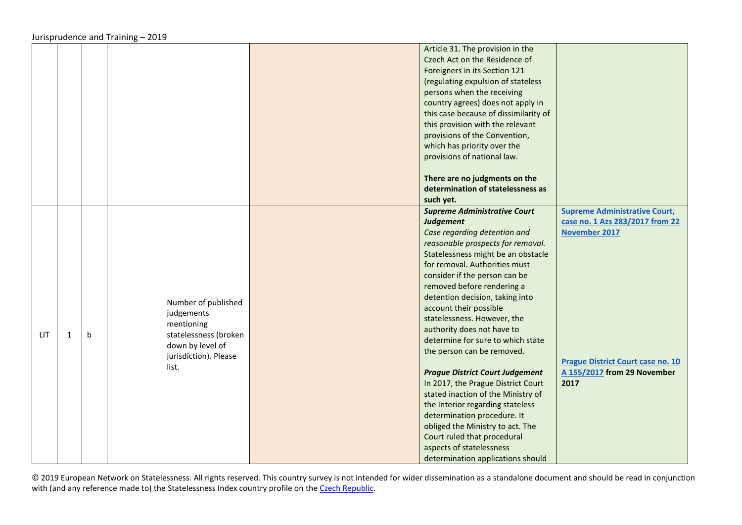|     |              |              |                                                                                                                                | Article 31. The provision in the<br>Czech Act on the Residence of<br>Foreigners in its Section 121<br>(regulating expulsion of stateless<br>persons when the receiving<br>country agrees) does not apply in<br>this case because of dissimilarity of<br>this provision with the relevant<br>provisions of the Convention,<br>which has priority over the<br>provisions of national law.<br>There are no judgments on the                                                                                                                                                                                                                                                                                                                                                                     |                                                                                                                                                                             |
|-----|--------------|--------------|--------------------------------------------------------------------------------------------------------------------------------|----------------------------------------------------------------------------------------------------------------------------------------------------------------------------------------------------------------------------------------------------------------------------------------------------------------------------------------------------------------------------------------------------------------------------------------------------------------------------------------------------------------------------------------------------------------------------------------------------------------------------------------------------------------------------------------------------------------------------------------------------------------------------------------------|-----------------------------------------------------------------------------------------------------------------------------------------------------------------------------|
|     |              |              |                                                                                                                                | determination of statelessness as<br>such yet.                                                                                                                                                                                                                                                                                                                                                                                                                                                                                                                                                                                                                                                                                                                                               |                                                                                                                                                                             |
| LIT | $\mathbf{1}$ | $\mathsf{b}$ | Number of published<br>judgements<br>mentioning<br>statelessness (broken<br>down by level of<br>jurisdiction). Please<br>list. | <b>Supreme Administrative Court</b><br><b>Judgement</b><br>Case regarding detention and<br>reasonable prospects for removal.<br>Statelessness might be an obstacle<br>for removal. Authorities must<br>consider if the person can be<br>removed before rendering a<br>detention decision, taking into<br>account their possible<br>statelessness. However, the<br>authority does not have to<br>determine for sure to which state<br>the person can be removed.<br><b>Prague District Court Judgement</b><br>In 2017, the Prague District Court<br>stated inaction of the Ministry of<br>the Interior regarding stateless<br>determination procedure. It<br>obliged the Ministry to act. The<br>Court ruled that procedural<br>aspects of statelessness<br>determination applications should | <b>Supreme Administrative Court,</b><br>case no. 1 Azs 283/2017 from 22<br>November 2017<br><b>Prague District Court case no. 10</b><br>A 155/2017 from 29 November<br>2017 |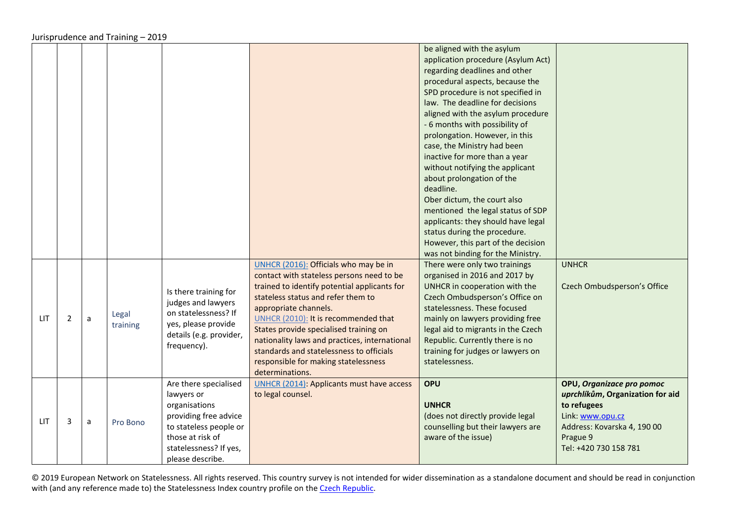<span id="page-44-1"></span><span id="page-44-0"></span>

|     |                |   |                   |                                                                                                                                                                           |                                                                                                                                                                                                                                                                                                                                                                                                                                             | be aligned with the asylum<br>application procedure (Asylum Act)<br>regarding deadlines and other<br>procedural aspects, because the<br>SPD procedure is not specified in<br>law. The deadline for decisions<br>aligned with the asylum procedure<br>- 6 months with possibility of<br>prolongation. However, in this<br>case, the Ministry had been<br>inactive for more than a year<br>without notifying the applicant<br>about prolongation of the<br>deadline.<br>Ober dictum, the court also<br>mentioned the legal status of SDP<br>applicants: they should have legal<br>status during the procedure.<br>However, this part of the decision<br>was not binding for the Ministry. |                                                                                                                                                                      |
|-----|----------------|---|-------------------|---------------------------------------------------------------------------------------------------------------------------------------------------------------------------|---------------------------------------------------------------------------------------------------------------------------------------------------------------------------------------------------------------------------------------------------------------------------------------------------------------------------------------------------------------------------------------------------------------------------------------------|-----------------------------------------------------------------------------------------------------------------------------------------------------------------------------------------------------------------------------------------------------------------------------------------------------------------------------------------------------------------------------------------------------------------------------------------------------------------------------------------------------------------------------------------------------------------------------------------------------------------------------------------------------------------------------------------|----------------------------------------------------------------------------------------------------------------------------------------------------------------------|
| LIT | $\overline{2}$ | a | Legal<br>training | Is there training for<br>judges and lawyers<br>on statelessness? If<br>yes, please provide<br>details (e.g. provider,<br>frequency).                                      | UNHCR (2016): Officials who may be in<br>contact with stateless persons need to be<br>trained to identify potential applicants for<br>stateless status and refer them to<br>appropriate channels.<br>UNHCR (2010): It is recommended that<br>States provide specialised training on<br>nationality laws and practices, international<br>standards and statelessness to officials<br>responsible for making statelessness<br>determinations. | There were only two trainings<br>organised in 2016 and 2017 by<br>UNHCR in cooperation with the<br>Czech Ombudsperson's Office on<br>statelessness. These focused<br>mainly on lawyers providing free<br>legal aid to migrants in the Czech<br>Republic. Currently there is no<br>training for judges or lawyers on<br>statelessness.                                                                                                                                                                                                                                                                                                                                                   | <b>UNHCR</b><br>Czech Ombudsperson's Office                                                                                                                          |
| LIT | 3              | a | Pro Bono          | Are there specialised<br>lawyers or<br>organisations<br>providing free advice<br>to stateless people or<br>those at risk of<br>statelessness? If yes,<br>please describe. | <b>UNHCR (2014): Applicants must have access</b><br>to legal counsel.                                                                                                                                                                                                                                                                                                                                                                       | <b>OPU</b><br><b>UNHCR</b><br>(does not directly provide legal<br>counselling but their lawyers are<br>aware of the issue)                                                                                                                                                                                                                                                                                                                                                                                                                                                                                                                                                              | OPU, Organizace pro pomoc<br>uprchlíkům, Organization for aid<br>to refugees<br>Link: www.opu.cz<br>Address: Kovarska 4, 190 00<br>Prague 9<br>Tel: +420 730 158 781 |